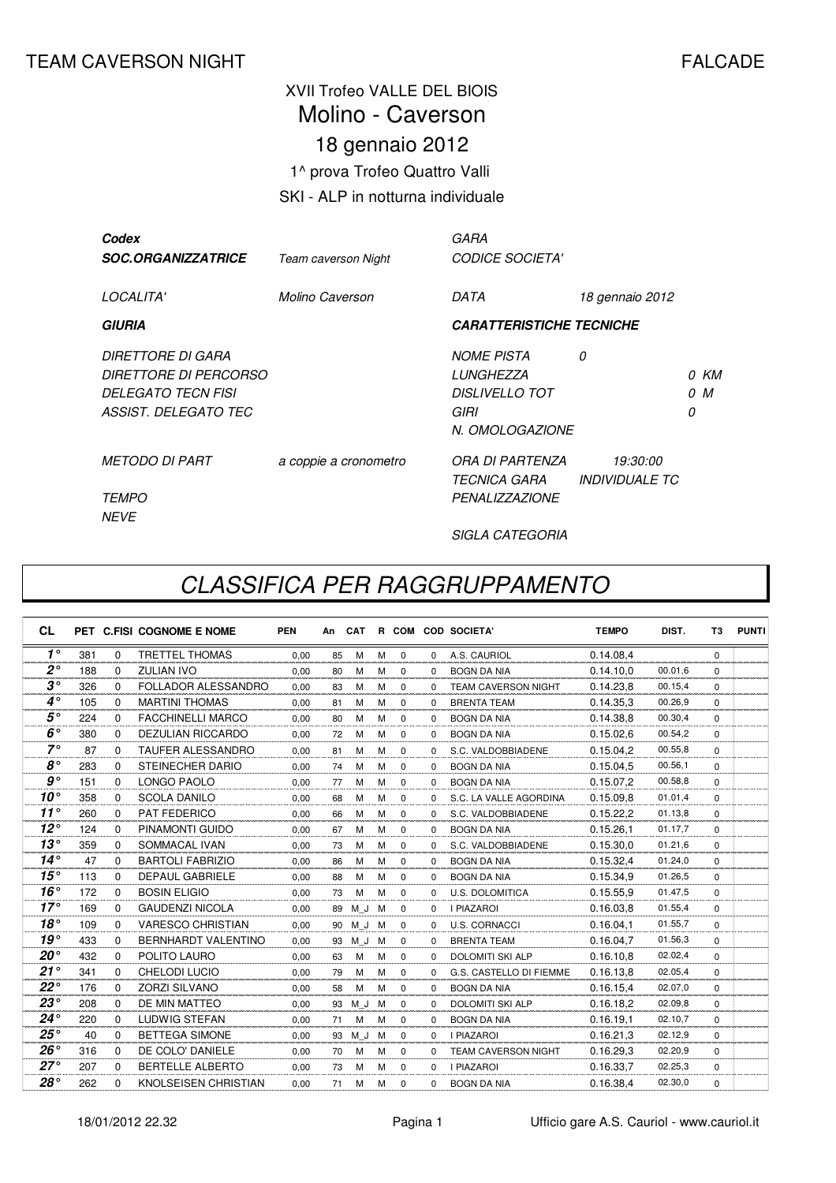## XVII Trofeo VALLE DEL BIOIS 18 gennaio 2012 1^ prova Trofeo Quattro Valli SKI - ALP in notturna individuale Molino - Caverson

| Codex<br><b>SOC.ORGANIZZATRICE</b>                                                              | <b>Team caverson Night</b> | GARA<br><b>CODICE SOCIETA'</b>                                              |                                          |   |             |
|-------------------------------------------------------------------------------------------------|----------------------------|-----------------------------------------------------------------------------|------------------------------------------|---|-------------|
| LOCALITA'                                                                                       | Molino Caverson            | DATA                                                                        | 18 gennaio 2012                          |   |             |
| <b>GIURIA</b>                                                                                   |                            | <b>CARATTERISTICHE TECNICHE</b>                                             |                                          |   |             |
| DIRETTORE DI GARA<br>DIRETTORE DI PERCORSO<br><b>DELEGATO TECN FISI</b><br>ASSIST. DELEGATO TEC |                            | <b>NOME PISTA</b><br>LUNGHEZZA<br>DISLIVELLO TOT<br>GIRI<br>N. OMOLOGAZIONE | 0                                        | 0 | 0 KM<br>0 M |
| <b>METODO DI PART</b><br><i>TEMPO</i><br><b>NEVE</b>                                            | a coppie a cronometro      | ORA DI PARTENZA<br><i><b>TECNICA GARA</b></i><br><b>PENALIZZAZIONE</b>      | <i>19:30:00</i><br><b>INDIVIDUALE TC</b> |   |             |

SIGLA CATEGORIA

## CLASSIFICA PER RAGGRUPPAMENTO

| <b>CL</b>    |     |          | PET C.FISI COGNOME E NOME  | <b>PEN</b> | An | <b>CAT</b> |   |             |          | R COM COD SOCIETA'         | <b>TEMPO</b> | DIST.   | T <sub>3</sub> | <b>PUNTI</b> |
|--------------|-----|----------|----------------------------|------------|----|------------|---|-------------|----------|----------------------------|--------------|---------|----------------|--------------|
| $1^{\circ}$  | 381 | $\Omega$ | <b>TRETTEL THOMAS</b>      | 0.00       | 85 | M          | M | $\Omega$    | $\Omega$ | A.S. CAURIOL               | 0.14.08.4    |         | $\Omega$       |              |
| $2^{\circ}$  | 188 | $\Omega$ | <b>ZULIAN IVO</b>          | 0.00       | 80 | M          | м | $\Omega$    | $\Omega$ | <b>BOGN DA NIA</b>         | 0.14.10.0    | 00.01.6 | $\Omega$       |              |
| $3^{\circ}$  | 326 | $\Omega$ | FOLLADOR ALESSANDRO        | 0.00       | 83 | м          | M | $\Omega$    | $\Omega$ | <b>TEAM CAVERSON NIGHT</b> | 0.14.23.8    | 00.15,4 | $\Omega$       |              |
| $4^\circ$    | 105 | $\Omega$ | <b>MARTINI THOMAS</b>      | 0,00       | 81 | М          | M | 0           | $\Omega$ | <b>BRENTA TEAM</b>         | 0.14.35.3    | 00.26.9 | $\Omega$       |              |
| $5^{\circ}$  | 224 | $\Omega$ | <b>FACCHINELLI MARCO</b>   | 0.00       | 80 | M          | M | $\Omega$    | $\Omega$ | <b>BOGN DA NIA</b>         | 0.14.38.8    | 00.30,4 | $\Omega$       |              |
| $6^{\circ}$  | 380 | $\Omega$ | <b>DEZULIAN RICCARDO</b>   | 0.00       | 72 | м          | м | 0           | $\Omega$ | <b>BOGN DA NIA</b>         | 0.15.02.6    | 00.54,2 | $\Omega$       |              |
| $7^\circ$    | 87  | $\Omega$ | <b>TAUFER ALESSANDRO</b>   | 0.00       | 81 | М          | M | $\Omega$    | $\Omega$ | S.C. VALDOBBIADENE         | 0.15.04.2    | 00.55,8 | $\Omega$       |              |
| $8^{\circ}$  | 283 | $\Omega$ | <b>STEINECHER DARIO</b>    | 0.00       | 74 | M          | M | $\mathbf 0$ | $\Omega$ | <b>BOGN DA NIA</b>         | 0.15.04.5    | 00.56,1 | $\Omega$       |              |
| $g \circ$    | 151 | 0        | <b>LONGO PAOLO</b>         | 0,00       | 77 | М          | M | $\mathbf 0$ | $\Omega$ | <b>BOGN DA NIA</b>         | 0.15.07,2    | 00.58,8 | $\Omega$       |              |
| $10^{\circ}$ | 358 | $\Omega$ | <b>SCOLA DANILO</b>        | 0.00       | 68 | M          | M | $\mathbf 0$ | $\Omega$ | S.C. LA VALLE AGORDINA     | 0.15.09.8    | 01.01.4 | $\Omega$       |              |
| $11^{\circ}$ | 260 | $\Omega$ | <b>PAT FEDERICO</b>        | 0.00       | 66 | м          | M | $\Omega$    | $\Omega$ | S.C. VALDOBBIADENE         | 0.15.22.2    | 01.13,8 | $\Omega$       |              |
| $12^{\circ}$ | 124 | $\Omega$ | PINAMONTI GUIDO            | 0.00       | 67 | м          | м | $\mathbf 0$ | $\Omega$ | <b>BOGN DA NIA</b>         | 0.15.26.1    | 01.17.7 | $\Omega$       |              |
| $13^{\circ}$ | 359 | $\Omega$ | SOMMACAL IVAN              | 0.00       | 73 | М          | M | $\mathbf 0$ | $\Omega$ | S.C. VALDOBBIADENE         | 0.15.30,0    | 01.21,6 | $\Omega$       |              |
| $14^\circ$   | 47  | $\Omega$ | <b>BARTOLI FABRIZIO</b>    | 0.00       | 86 | м          | м | 0           | $\Omega$ | <b>BOGN DA NIA</b>         | 0.15.32.4    | 01.24,0 | $\Omega$       |              |
| $15^{\circ}$ | 113 | $\Omega$ | <b>DEPAUL GABRIELE</b>     | 0.00       | 88 | M          | M | $\Omega$    | $\Omega$ | <b>BOGN DA NIA</b>         | 0.15.34.9    | 01.26,5 | $\Omega$       |              |
| $16^{\circ}$ | 172 | $\Omega$ | <b>BOSIN ELIGIO</b>        | 0,00       | 73 | M          | M | $\mathbf 0$ | $\Omega$ | <b>U.S. DOLOMITICA</b>     | 0.15.55,9    | 01.47.5 | $\Omega$       |              |
| $17^\circ$   | 169 | $\Omega$ | <b>GAUDENZI NICOLA</b>     | 0,00       | 89 | M J        | M | $\Omega$    | $\Omega$ | <b>I PIAZAROI</b>          | 0.16.03,8    | 01.55.4 | $\Omega$       |              |
| 18°          | 109 | $\Omega$ | <b>VARESCO CHRISTIAN</b>   | 0.00       | 90 | M J        | M | $\Omega$    | $\Omega$ | <b>U.S. CORNACCI</b>       | 0.16.04.1    | 01.55.7 | $\Omega$       |              |
| $19^{\circ}$ | 433 | $\Omega$ | <b>BERNHARDT VALENTINO</b> | 0.00       | 93 | M J        | M | $\Omega$    | $\Omega$ | <b>BRENTA TEAM</b>         | 0.16.04.7    | 01.56,3 | $\Omega$       |              |
| $20^{\circ}$ | 432 | $\Omega$ | POLITO LAURO               | 0.00       | 63 | M          | м | $\mathbf 0$ | $\Omega$ | <b>DOLOMITI SKI ALP</b>    | 0.16.10.8    | 02.02,4 | $\Omega$       |              |
| 21°          | 341 | $\Omega$ | <b>CHELODI LUCIO</b>       | 0,00       | 79 | М          | M | 0           | $\Omega$ | G.S. CASTELLO DI FIEMME    | 0.16.13,8    | 02.05,4 | $\Omega$       |              |
| $22^{\circ}$ | 176 | $\Omega$ | <b>ZORZI SILVANO</b>       | 0,00       | 58 | м          | м | $\mathbf 0$ | $\Omega$ | <b>BOGN DA NIA</b>         | 0.16.15.4    | 02.07.0 | $\Omega$       |              |
| $23^\circ$   | 208 | $\Omega$ | DE MIN MATTEO              | 0.00       | 93 | M J        | м | $\Omega$    | $\Omega$ | <b>DOLOMITI SKI ALP</b>    | 0.16.18.2    | 02.09.8 | $\Omega$       |              |
| $24^{\circ}$ | 220 | $\Omega$ | LUDWIG STEFAN              | 0.00       | 71 | М          | M | 0           | $\Omega$ | <b>BOGN DA NIA</b>         | 0.16.19.1    | 02.10,7 | $\Omega$       |              |
| $25^{\circ}$ | 40  | $\Omega$ | <b>BETTEGA SIMONE</b>      | 0,00       | 93 | M J        | M | 0           | $\Omega$ | <b>I PIAZAROI</b>          | 0.16.21,3    | 02.12,9 | $\Omega$       |              |
| $26^{\circ}$ | 316 | $\Omega$ | DE COLO' DANIELE           | 0,00       | 70 | м          | м | $\mathbf 0$ | $\Omega$ | <b>TEAM CAVERSON NIGHT</b> | 0.16.29,3    | 02.20,9 | $\Omega$       |              |
| $27^\circ$   | 207 | $\Omega$ | <b>BERTELLE ALBERTO</b>    | 0.00       | 73 | м          | M | $\Omega$    | $\Omega$ | <b>I PIAZAROI</b>          | 0.16.33,7    | 02.25,3 | $\Omega$       |              |
| $28^\circ$   | 262 | $\Omega$ | KNOLSEISEN CHRISTIAN       | 0.00       | 71 | М          | M | $\Omega$    | $\Omega$ | <b>BOGN DA NIA</b>         | 0.16.38.4    | 02.30,0 | $\Omega$       |              |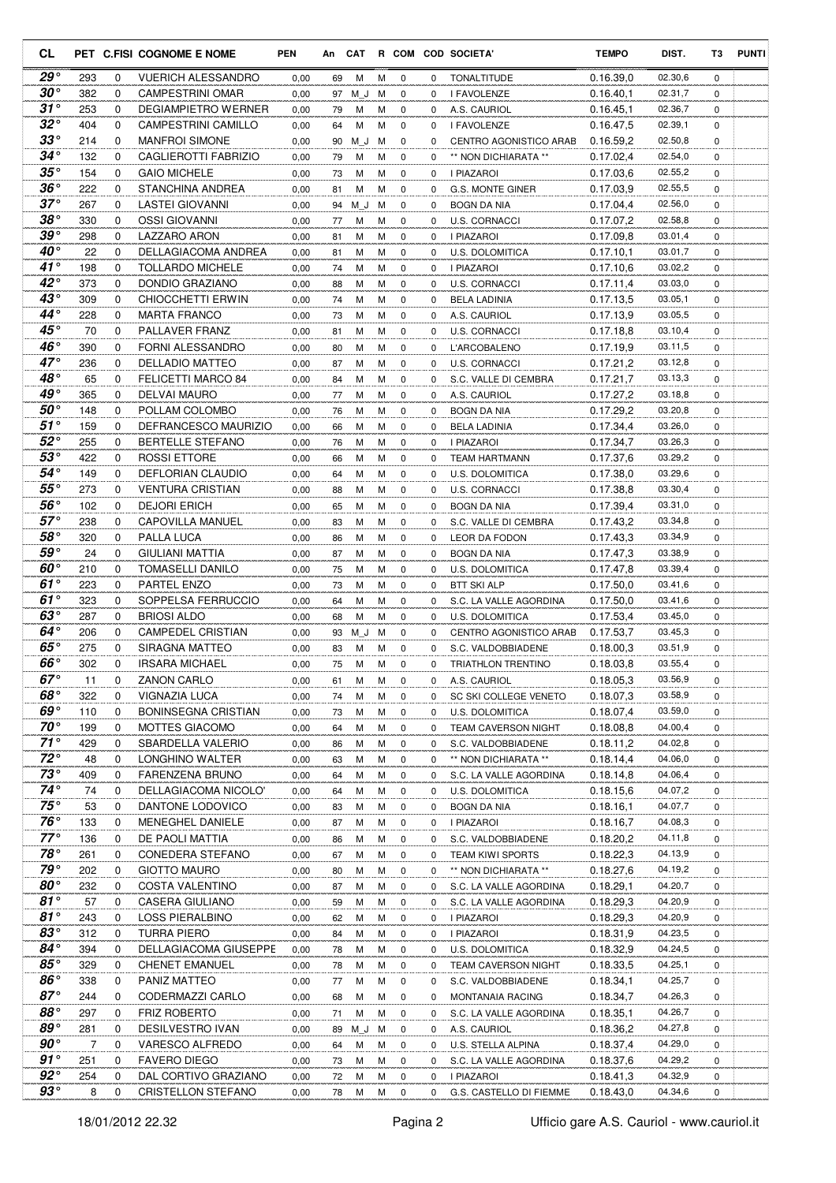| CL                         |           |             | PET C.FISI COGNOME E NOME                      | <b>PEN</b>   |          |        |        |                  |          | An CAT R COM COD SOCIETA'             | <b>TEMPO</b>           | DIST.              | Т3          | <b>PUNTI</b> |
|----------------------------|-----------|-------------|------------------------------------------------|--------------|----------|--------|--------|------------------|----------|---------------------------------------|------------------------|--------------------|-------------|--------------|
| $29^{\circ}$               | 293       | 0           | <b>VUERICH ALESSANDRO</b>                      | 0,00         | 69       | м      | м      | 0                | 0        | <b>TONALTITUDE</b>                    | 0.16.39,0              | 02.30,6            | $\mathbf 0$ |              |
| $30^{\circ}$               | 382       | 0           | <b>CAMPESTRINI OMAR</b>                        | 0,00         | 97       | M J    | м      | 0                | 0        | I FAVOLENZE                           | 0.16.40,1              | 02.31,7            | 0           |              |
| $31^{\circ}$               | 253       | 0           | DEGIAMPIETRO WERNER                            | 0,00         | 79       | М      | M      | 0                | 0        | A.S. CAURIOL                          | 0.16.45,1              | 02.36,7            | $\mathbf 0$ |              |
| $32^{\circ}$               | 404       | 0           | CAMPESTRINI CAMILLO                            | 0,00         | 64       | М      | M      | 0                | 0        | I FAVOLENZE                           | 0.16.47,5              | 02.39,1            | 0           |              |
| $33^{\circ}$               | 214       | 0           | <b>MANFROI SIMONE</b>                          | 0,00         | 90       | M J    | м      | 0                | 0        | CENTRO AGONISTICO ARAB                | 0.16.59,2              | 02.50,8            | 0           |              |
| $34^{\circ}$               | 132       | 0           | CAGLIEROTTI FABRIZIO                           | 0,00         | 79       | М      | М      | 0                | 0        | ** NON DICHIARATA **                  | 0.17.02,4              | 02.54,0            | 0           |              |
| $35^{\circ}$               | 154       | $\mathbf 0$ | <b>GAIO MICHELE</b>                            | 0,00         | 73       | M      | М      | $\mathbf 0$      | 0        | I PIAZAROI                            | 0.17.03,6              | 02.55,2            | 0           |              |
| $36^{\circ}$               | 222       | $\mathbf 0$ | STANCHINA ANDREA                               | 0,00         | 81       | M      | M      | 0                | 0        | G.S. MONTE GINER                      | 0.17.03,9              | 02.55,5            | 0           |              |
| $37^{\circ}$               | 267       | $\mathbf 0$ | <b>LASTEI GIOVANNI</b>                         | 0,00         | 94       | M J    | м      | 0                | 0        | <b>BOGN DA NIA</b>                    | 0.17.04,4              | 02.56,0            | $\mathbf 0$ |              |
| $38^\circ$<br>39°          | 330       | 0           | OSSI GIOVANNI                                  | 0,00         | 77       | м      | м      | 0                | 0        | <b>U.S. CORNACCI</b>                  | 0.17.07,2              | 02.58,8            | 0           |              |
| $40^{\circ}$               | 298       | 0           | <b>LAZZARO ARON</b>                            | 0,00         | 81       | м      | м      | 0                | 0        | I PIAZAROI                            | 0.17.09,8              | 03.01,4<br>03.01,7 | 0           |              |
| $41^{\circ}$               | 22<br>198 | 0<br>0      | DELLAGIACOMA ANDREA<br><b>TOLLARDO MICHELE</b> | 0,00         | 81       | М<br>М | М<br>М | $\mathbf 0$<br>0 | 0<br>0   | U.S. DOLOMITICA                       | 0.17.10,1              | 03.02,2            | 0<br>0      |              |
| $42^{\circ}$               | 373       | $\mathbf 0$ | DONDIO GRAZIANO                                | 0,00<br>0,00 | 74<br>88 | М      | M      | $\mathbf 0$      | 0        | I PIAZAROI<br>U.S. CORNACCI           | 0.17.10,6<br>0.17.11,4 | 03.03,0            | 0           |              |
| 43°                        | 309       | $\mathbf 0$ | CHIOCCHETTI ERWIN                              | 0,00         | 74       | м      | М      | 0                | $\Omega$ | <b>BELA LADINIA</b>                   | 0.17.13,5              | 03.05,1            | 0           |              |
| $44^{\circ}$               | 228       | $\mathbf 0$ | <b>MARTA FRANCO</b>                            | 0,00         | 73       | м      | M      | 0                | 0        | A.S. CAURIOL                          | 0.17.13,9              | 03.05,5            | $\mathbf 0$ |              |
| $45^\circ$                 | 70        | 0           | PALLAVER FRANZ                                 | 0,00         | 81       | M      | М      | 0                | 0        | U.S. CORNACCI                         | 0.17.18,8              | 03.10,4            | 0           |              |
| $46^{\circ}$               | 390       | 0           | FORNI ALESSANDRO                               | 0,00         | 80       | м      | М      | 0                | 0        | L'ARCOBALENO                          | 0.17.19,9              | 03.11,5            | $\mathbf 0$ |              |
| $47^\circ$                 | 236       | 0           | <b>DELLADIO MATTEO</b>                         | 0,00         | 87       | М      | М      | 0                | 0        | <b>U.S. CORNACCI</b>                  | 0.17.21,2              | 03.12,8            | 0           |              |
| $48^{\circ}$               | 65        | 0           | FELICETTI MARCO 84                             | 0,00         | 84       | M      | M      | $\mathbf 0$      | 0        | S.C. VALLE DI CEMBRA                  | 0.17.21.7              | 03.13,3            | $\mathbf 0$ |              |
| 49°                        | 365       | 0           | DELVAI MAURO                                   | 0,00         | 77       | М      | М      | 0                | 0        | A.S. CAURIOL                          | 0.17.27,2              | 03.18,8            | 0           |              |
| $50^{\circ}$               | 148       | 0           | POLLAM COLOMBO                                 | 0,00         | 76       | M      | M      | 0                | 0        | BOGN DA NIA                           | 0.17.29,2              | 03.20,8            | 0           |              |
| $51^\circ$                 | 159       | 0           | DEFRANCESCO MAURIZIO                           | 0,00         | 66       | М      | M      | 0                | 0        | <b>BELA LADINIA</b>                   | 0.17.34,4              | 03.26,0            | 0           |              |
| $52^{\circ}$               | 255       | $\mathbf 0$ | <b>BERTELLE STEFANO</b>                        | 0,00         | 76       | М      | M      | 0                | 0        | I PIAZAROI                            | 0.17.34,7              | 03.26,3            | 0           |              |
| $53^\circ$                 | 422       | 0           | <b>ROSSI ETTORE</b>                            | 0,00         | 66       | М      | M      | 0                | 0        | <b>TEAM HARTMANN</b>                  | 0.17.37,6              | 03.29,2            | 0           |              |
| 54°                        | 149       | 0           | DEFLORIAN CLAUDIO                              | 0,00         | 64       | М      | M      | 0                | 0        | <b>U.S. DOLOMITICA</b>                | 0.17.38,0              | 03.29,6            | $\mathbf 0$ |              |
| 55°                        | 273       | 0           | <b>VENTURA CRISTIAN</b>                        | 0,00         | 88       | м      | M      | 0                | 0        | <b>U.S. CORNACCI</b>                  | 0.17.38,8              | 03.30,4            | 0           |              |
| 56°                        | 102       | 0           | <b>DEJORI ERICH</b>                            | 0,00         | 65       | М      | M      | $\mathbf 0$      | 0        | <b>BOGN DA NIA</b>                    | 0.17.39,4              | 03.31,0            | 0           |              |
| $57^\circ$                 | 238       | 0           | CAPOVILLA MANUEL                               | 0,00         | 83       | М      | М      | $\mathbf 0$      | 0        | S.C. VALLE DI CEMBRA                  | 0.17.43,2              | 03.34,8            | 0           |              |
| $58^{\circ}$               | 320       | 0           | PALLA LUCA                                     | 0,00         | 86       | М      | M      | 0                | 0        | LEOR DA FODON                         | 0.17.43,3              | 03.34,9            | 0           |              |
| $59^{\circ}$               | 24        | 0           | <b>GIULIANI MATTIA</b>                         | 0,00         | 87       | М      | M      | 0                | 0        | <b>BOGN DA NIA</b>                    | 0.17.47,3              | 03.38,9            | 0           |              |
| 60°                        | 210       | $\mathbf 0$ | <b>TOMASELLI DANILO</b>                        | 0,00         | 75       | м      | М      | 0                | 0        | U.S. DOLOMITICA                       | 0.17.47,8              | 03.39,4            | 0           |              |
| $61^\circ$                 | 223       | $\mathbf 0$ | <b>PARTEL ENZO</b>                             | 0,00         | 73       | м      | M      | 0                | 0        | <b>BTT SKI ALP</b>                    | 0.17.50,0              | 03.41,6            | 0           |              |
| 61°                        | 323       | 0           | SOPPELSA FERRUCCIO                             | 0,00         | 64       | M      | M      | 0                | 0        | S.C. LA VALLE AGORDINA                | 0.17.50,0              | 03.41,6            | 0           |              |
| $63^\circ$                 | 287       | 0           | <b>BRIOSI ALDO</b>                             | 0,00         | 68       | М      | M      | 0                | 0        | U.S. DOLOMITICA                       | 0.17.53,4              | 03.45,0            | 0           |              |
| 64°                        | 206       | 0           | CAMPEDEL CRISTIAN                              | 0,00         | 93       | M J    | м      | 0                | $\Omega$ | CENTRO AGONISTICO ARAB                | 0.17.53,7              | 03.45,3            | 0           |              |
| $65^{\circ}$<br>$66^\circ$ | 275       | 0           | SIRAGNA MATTEO                                 | 0,00         | 83       | M      | M      | $\mathbf 0$      | 0        | S.C. VALDOBBIADENE                    | 0.18.00.3              | 03.51,9<br>03.55.4 | 0           |              |
| $67^\circ$                 | 302       | $\Omega$    | IRSARA MICHAEL                                 | 0,00         | 75       | М      | M      | $\Omega$         | 0        | TRIATHLON TRENTINO                    | 0.18.03,8              | 03.56,9            | $\Omega$    |              |
| 68°                        | 11<br>322 | 0<br>0      | <b>ZANON CARLO</b><br>VIGNAZIA LUCA            | 0,00         | 61       | м      | M<br>М | 0<br>0           | 0<br>0   | A.S. CAURIOL<br>SC SKI COLLEGE VENETO | 0.18.05,3<br>0.18.07,3 | 03.58,9            | 0<br>0      |              |
| $69^{\circ}$               | 110       | 0           | <b>BONINSEGNA CRISTIAN</b>                     | 0,00<br>0,00 | 74<br>73 | м<br>м | M      | 0                | 0        | U.S. DOLOMITICA                       | 0.18.07,4              | 03.59,0            | 0           |              |
| $70^{\circ}$               | 199       | 0           | MOTTES GIACOMO                                 | 0,00         | 64       | м      | M      | 0                | 0        | TEAM CAVERSON NIGHT                   | 0.18.08.8              | 04.00,4            | 0           |              |
| $71^\circ$                 | 429       | 0           | SBARDELLA VALERIO                              | 0,00         | 86       | м      | M      | 0                | 0        | S.C. VALDOBBIADENE                    | 0.18.11,2              | 04.02,8            | $\mathbf 0$ |              |
| $72^{\circ}$               | 48        | 0           | LONGHINO WALTER                                | 0,00         | 63       | M      | M      | 0                | 0        | ** NON DICHIARATA **                  | 0.18.14,4              | 04.06,0            | 0           |              |
| $73^{\circ}$               | 409       | 0           | FARENZENA BRUNO                                | 0,00         | 64       | м      | м      | 0                | 0        | S.C. LA VALLE AGORDINA                | 0.18.14,8              | 04.06,4            | 0           |              |
| $74^{\circ}$               | 74        | 0           | DELLAGIACOMA NICOLO'                           | 0,00         | 64       | M      | M      | 0                | 0        | U.S. DOLOMITICA                       | 0.18.15,6              | 04.07,2            | 0           |              |
| $75^{\circ}$               | 53        | 0           | DANTONE LODOVICO                               | 0,00         | 83       | M      | M      | 0                | 0        | BOGN DA NIA                           | 0.18.16,1              | 04.07,7            | 0           |              |
| $76^{\circ}$               | 133       | 0           | MENEGHEL DANIELE                               | 0,00         | 87       | M      | M      | 0                | 0        | I PIAZAROI                            | 0.18.16,7              | 04.08,3            | 0           |              |
| $77^\circ$                 | 136       | 0           | DE PAOLI MATTIA                                | 0,00         | 86       | M      | M      | 0                | 0        | S.C. VALDOBBIADENE                    | 0.18.20,2              | 04.11,8            | 0           |              |
| $78^{\circ}$               | 261       | 0           | CONEDERA STEFANO                               | 0,00         | 67       | M      | M      | 0                | 0        | TEAM KIWI SPORTS                      | 0.18.22,3              | 04.13,9            | 0           |              |
| 79°                        | 202       | 0           | <b>GIOTTO MAURO</b>                            | 0,00         | 80       | м      | M      | 0                | 0        | ** NON DICHIARATA **                  | 0.18.27,6              | 04.19,2            | 0           |              |
| $80^{\circ}$               | 232       | 0           | COSTA VALENTINO                                | 0,00         | 87       | М      | М      | 0                | 0        | S.C. LA VALLE AGORDINA                | 0.18.29,1              | 04.20,7            | 0           |              |
| $81^\circ$                 | 57        | 0           | CASERA GIULIANO                                | 0,00         | 59       | м      | М      | 0                | 0        | S.C. LA VALLE AGORDINA                | 0.18.29,3              | 04.20,9            | 0           |              |
| $81^{\circ}$               | 243       | 0           | LOSS PIERALBINO                                | 0,00         | 62       | M      | M      | 0                | 0        | I PIAZAROI                            | 0.18.29,3              | 04.20,9            | 0           |              |
| $83^{\circ}$               | 312       | 0           | <b>TURRA PIERO</b>                             | 0,00         | 84       | M      | M      | 0                | 0        | I PIAZAROI                            | 0.18.31,9              | 04.23,5            | 0           |              |
| $84^{\circ}$               | 394       | 0           | DELLAGIACOMA GIUSEPPE                          | 0,00         | 78       | M      | M      | 0                | 0        | U.S. DOLOMITICA                       | 0.18.32,9              | 04.24,5            | 0           |              |
| $85^{\circ}$               | 329       | $\mathbf 0$ | <b>CHENET EMANUEL</b>                          | 0,00         | 78       | м      | M      | 0                | 0        | <b>TEAM CAVERSON NIGHT</b>            | 0.18.33,5              | 04.25,1            | 0           |              |
| $86^{\circ}$               | 338       | 0           | PANIZ MATTEO                                   | 0,00         | 77       | м      | M      | 0                | 0        | S.C. VALDOBBIADENE                    | 0.18.34,1              | 04.25,7            | 0           |              |
| $87^\circ$                 | 244       | 0           | CODERMAZZI CARLO                               | 0,00         | 68       | м      | M      | 0                | 0        | MONTANAIA RACING                      | 0.18.34,7              | 04.26,3            | 0           |              |
| 88°                        | 297       | 0           | <b>FRIZ ROBERTO</b>                            | 0,00         | 71       | М      | M      | 0                | 0        | S.C. LA VALLE AGORDINA                | 0.18.35,1              | 04.26,7            | 0           |              |
| 89°                        | 281       | 0           | DESILVESTRO IVAN                               | 0,00         | 89       | M_J    | M      | 0                | 0        | A.S. CAURIOL                          | 0.18.36,2              | 04.27,8            | 0           |              |
| 90°<br>$91^{\circ}$        | 7         | 0           | VARESCO ALFREDO                                | 0,00         | 64       | M      | M      | 0                | 0        | U.S. STELLA ALPINA                    | 0.18.37,4              | 04.29,0            | 0           |              |
| $92^{\circ}$               | 251       | 0           | <b>FAVERO DIEGO</b>                            | 0,00         | 73       | M      | M      | 0                | 0        | S.C. LA VALLE AGORDINA                | 0.18.37,6              | 04.29,2            | 0           |              |
|                            | 254       | 0           | DAL CORTIVO GRAZIANO                           | 0,00         | 72       | M      | M      | 0                | 0        | I PIAZAROI                            | 0.18.41,3              | 04.32,9            | 0           |              |
| $93^{\circ}$               | 8         | 0           | CRISTELLON STEFANO                             | 0,00         | 78       | М      | M      | 0                | 0        | G.S. CASTELLO DI FIEMME               | 0.18.43,0              | 04.34,6            | 0           |              |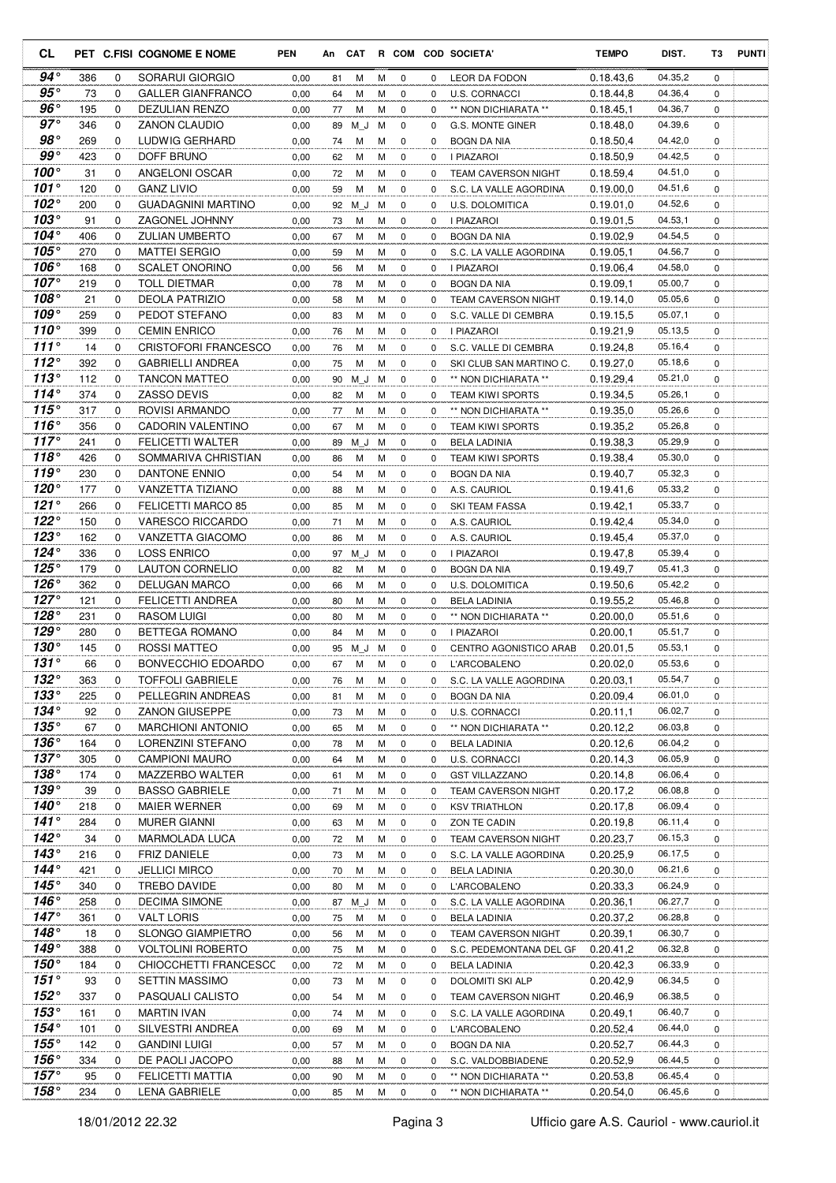| CL                               |            |             | PET C.FISI COGNOME E NOME                      | <b>PEN</b>   | An       | CAT      |        |             |               | R COM COD SOCIETA'                             | <b>TEMPO</b>           | DIST.              | T3               | <b>PUNTI</b> |
|----------------------------------|------------|-------------|------------------------------------------------|--------------|----------|----------|--------|-------------|---------------|------------------------------------------------|------------------------|--------------------|------------------|--------------|
| 94°                              | 386        | 0           | SORARUI GIORGIO                                | 0,00         | 81       | М        | м      | 0           | 0             | LEOR DA FODON                                  | 0.18.43.6              | 04.35,2            | $\mathbf 0$      |              |
| 95 $^{\circ}$                    | 73         | 0           | <b>GALLER GIANFRANCO</b>                       | 0,00         | 64       | м        | м      | 0           | $\Omega$      | U.S. CORNACCI                                  | 0.18.44,8              | 04.36,4            | $\Omega$         |              |
| $96^{\circ}$                     | 195        | 0           | DEZULIAN RENZO                                 | 0,00         | 77       | М        | М      | $\mathbf 0$ | 0             | ** NON DICHIARATA **                           | 0.18.45,1              | 04.36,7            | 0                |              |
| $97^\circ$                       | 346        | 0           | ZANON CLAUDIO                                  | 0,00         | 89       | M J      | м      | 0           | 0             | G.S. MONTE GINER                               | 0.18.48.0              | 04.39,6            | 0                |              |
| $98^{\circ}$                     | 269        | 0           | LUDWIG GERHARD                                 | 0,00         | 74       | М        | М      | 0           | 0             | <b>BOGN DA NIA</b>                             | 0.18.50,4              | 04.42,0            | 0                |              |
| $99^{\circ}$                     | 423        | $\mathbf 0$ | DOFF BRUNO                                     | 0,00         | 62       | м        | М      | 0           | 0             | I PIAZAROI                                     | 0.18.50,9              | 04.42,5            | 0                |              |
| 100 $^{\circ}$                   | 31         | $\mathbf 0$ | ANGELONI OSCAR                                 | 0,00         | 72       | М        | M      | 0           | 0             | <b>TEAM CAVERSON NIGHT</b>                     | 0.18.59,4              | 04.51,0            | $\mathbf 0$      |              |
| 101 $^{\circ}$                   | 120        | 0           | GANZ LIVIO                                     | 0,00         | 59       | M        | М      | 0           | 0             | S.C. LA VALLE AGORDINA                         | 0.19.00,0              | 04.51,6            | 0                |              |
| 102 $^{\circ}$<br>103°           | 200        | $\mathbf 0$ | <b>GUADAGNINI MARTINO</b>                      | 0,00         | 92       | M J      | м      | $\mathbf 0$ | 0             | <b>U.S. DOLOMITICA</b>                         | 0.19.01,0              | 04.52,6            | $\mathbf 0$      |              |
| 104 $^{\circ}$                   | 91<br>406  | 0<br>0      | <b>ZAGONEL JOHNNY</b><br><b>ZULIAN UMBERTO</b> | 0,00<br>0,00 | 73<br>67 | M<br>M   | M<br>м | 0<br>0      | 0<br>0        | I PIAZAROI<br><b>BOGN DA NIA</b>               | 0.19.01,5<br>0.19.02.9 | 04.53,1<br>04.54,5 | 0<br>0           |              |
| 105°                             | 270        | 0           | MATTEI SERGIO                                  | 0,00         | 59       | М        | М      | 0           | 0             | S.C. LA VALLE AGORDINA                         | 0.19.05,1              | 04.56,7            | 0                |              |
| 106°                             | 168        | 0           | <b>SCALET ONORINO</b>                          | 0,00         | 56       | M        | M      | 0           | 0             | I PIAZAROI                                     | 0.19.06,4              | 04.58,0            | 0                |              |
| $107^\circ$                      | 219        | 0           | <b>TOLL DIETMAR</b>                            | 0,00         | 78       | М        | М      | $\mathbf 0$ | 0             | <b>BOGN DA NIA</b>                             | 0.19.09,1              | 05.00,7            | 0                |              |
| $108^\circ$                      | 21         | $\mathbf 0$ | <b>DEOLA PATRIZIO</b>                          | 0,00         | 58       | М        | M      | $\mathbf 0$ | $\Omega$      | <b>TEAM CAVERSON NIGHT</b>                     | 0.19.14.0              | 05.05,6            | 0                |              |
| $109^\circ$                      | 259        | $\mathbf 0$ | PEDOT STEFANO                                  | 0,00         | 83       | М        | M      | 0           | 0             | S.C. VALLE DI CEMBRA                           | 0.19.15,5              | 05.07,1            | 0                |              |
| $110^{\circ}$                    | 399        | $\mathbf 0$ | <b>CEMIN ENRICO</b>                            | 0,00         | 76       | М        | M      | $\mathbf 0$ | 0             | <b>I PIAZAROI</b>                              | 0.19.21,9              | 05.13,5            | $\mathbf 0$      |              |
| 111 $^{\circ}$                   | 14         | 0           | <b>CRISTOFORI FRANCESCO</b>                    | 0,00         | 76       | M        | M      | 0           | 0             | S.C. VALLE DI CEMBRA                           | 0.19.24,8              | 05.16,4            | 0                |              |
| 112°                             | 392        | 0           | <b>GABRIELLI ANDREA</b>                        | 0,00         | 75       | М        | M      | 0           | 0             | SKI CLUB SAN MARTINO C.                        | 0.19.27,0              | 05.18,6            | $\mathbf 0$      |              |
| 113°                             | 112        | 0           | <b>TANCON MATTEO</b>                           | 0,00         | 90       | M J      | м      | 0           | 0             | ** NON DICHIARATA **                           | 0.19.29,4              | 05.21,0            | 0                |              |
| $114^\circ$                      | 374        | 0           | ZASSO DEVIS                                    | 0,00         | 82       | М        | М      | 0           | 0             | <b>TEAM KIWI SPORTS</b>                        | 0.19.34,5              | 05.26,1            | 0                |              |
| 115°                             | 317        | $\mathbf 0$ | ROVISI ARMANDO                                 | 0,00         | 77       | М        | М      | $\mathbf 0$ | 0             | ** NON DICHIARATA **                           | 0.19.35,0              | 05.26,6            | 0                |              |
| 116 $^{\circ}$                   | 356        | $\mathbf 0$ | <b>CADORIN VALENTINO</b>                       | 0,00         | 67       | M        | M      | $\mathbf 0$ | $\Omega$      | <b>TEAM KIWI SPORTS</b>                        | 0.19.35,2              | 05.26,8            | 0                |              |
| $117^\circ$                      | 241        | $\mathbf 0$ | <b>FELICETTI WALTER</b>                        | 0,00         | 89       | M J      | м      | $\mathbf 0$ | 0             | <b>BELA LADINIA</b>                            | 0.19.38,3              | 05.29,9            | 0                |              |
| 118 $^{\circ}$<br>119 $^{\circ}$ | 426        | 0           | SOMMARIVA CHRISTIAN                            | 0,00         | 86       | M        | M      | 0           | 0             | <b>TEAM KIWI SPORTS</b>                        | 0.19.38,4              | 05.30,0            | 0                |              |
| $120^\circ$                      | 230<br>177 | 0<br>0      | DANTONE ENNIO<br>VANZETTA TIZIANO              | 0,00         | 54       | м        | м      | 0<br>0      | 0<br>$\Omega$ | <b>BOGN DA NIA</b>                             | 0.19.40,7              | 05.32,3<br>05.33,2 | $\mathbf 0$<br>0 |              |
| 121°                             | 266        | 0           | FELICETTI MARCO 85                             | 0,00<br>0,00 | 88<br>85 | м<br>М   | М<br>M | $\mathbf 0$ | 0             | A.S. CAURIOL<br>SKI TEAM FASSA                 | 0.19.41,6<br>0.19.42,1 | 05.33,7            | 0                |              |
| $122^\circ$                      | 150        | 0           | VARESCO RICCARDO                               | 0,00         | 71       | М        | M      | 0           | 0             | A.S. CAURIOL                                   | 0.19.42,4              | 05.34,0            | 0                |              |
| $123^\circ$                      | 162        | 0           | VANZETTA GIACOMO                               | 0,00         | 86       | M        | м      | 0           | 0             | A.S. CAURIOL                                   | 0.19.45,4              | 05.37,0            | 0                |              |
| 124°                             | 336        | $\mathbf 0$ | <b>LOSS ENRICO</b>                             | 0,00         | 97       | M J M    |        | 0           | 0             | I PIAZAROI                                     | 0.19.47,8              | 05.39,4            | 0                |              |
| $125^\circ$                      | 179        | $\mathbf 0$ | <b>LAUTON CORNELIO</b>                         | 0,00         | 82       | М        | M      | $\mathbf 0$ | 0             | <b>BOGN DA NIA</b>                             | 0.19.49,7              | 05.41,3            | $\mathbf 0$      |              |
| $126^\circ$                      | 362        | 0           | DELUGAN MARCO                                  | 0,00         | 66       | М        | M      | 0           | 0             | U.S. DOLOMITICA                                | 0.19.50,6              | 05.42,2            | 0                |              |
| 127 $^{\circ}$                   | 121        | 0           | <b>FELICETTI ANDREA</b>                        | 0,00         | 80       | M        | М      | 0           | 0             | <b>BELA LADINIA</b>                            | 0.19.55,2              | 05.46,8            | $\mathbf 0$      |              |
| $128^\circ$                      | 231        | 0           | <b>RASOM LUIGI</b>                             | 0,00         | 80       | M        | M      | 0           | 0             | ** NON DICHIARATA **                           | 0.20.00,0              | 05.51,6            | 0                |              |
| $129^\circ$                      | 280        | 0           | <b>BETTEGA ROMANO</b>                          | 0,00         | 84       | M        | M      | 0           | 0             | <b>I PIAZAROI</b>                              | 0.20.00,1              | 05.51,7            | 0                |              |
| $130^\circ$                      | 145        | 0           | ROSSI MATTEO                                   | 0,00         | 95       | ΜJ       | м      | 0           | 0             | CENTRO AGONISTICO ARAB                         | 0.20.01,5              | 05.53,1            | 0                |              |
| 131°                             | 66         | $\Omega$    | BONVECCHIO EDOARDO                             | 0.00         | 67       | M        | м      | $\mathbf 0$ | 0             | L'ARCOBALENO                                   | 0.20.02,0              | 05.53,6            | $\mathbf 0$      |              |
| $132^\circ$<br>$133^\circ$       | 363        | 0           | <b>TOFFOLI GABRIELE</b>                        | 0,00         | 76       | M        | M      | 0           | 0             | S.C. LA VALLE AGORDINA                         | 0.20.03,1              | 05.54,7            | 0                |              |
| $134^\circ$                      | 225<br>92  | 0<br>0      | PELLEGRIN ANDREAS<br><b>ZANON GIUSEPPE</b>     | 0,00         | 81       | M        | М      | 0           | 0<br>0        | BOGN DA NIA<br><b>U.S. CORNACCI</b>            | 0.20.09,4              | 06.01,0<br>06.02,7 | 0<br>0           |              |
| $135^\circ$                      | 67         | 0           | <b>MARCHIONI ANTONIO</b>                       | 0,00<br>0,00 | 73<br>65 | M<br>м   | M<br>M | 0<br>0      | 0             | ** NON DICHIARATA **                           | 0.20.11,1<br>0.20.12,2 | 06.03,8            | 0                |              |
| $136^\circ$                      | 164        | 0           | LORENZINI STEFANO                              | 0,00         | 78       | M        | М      | 0           | 0             | <b>BELA LADINIA</b>                            | 0.20.12,6              | 06.04,2            | 0                |              |
| $137^\circ$                      | 305        | 0           | <b>CAMPIONI MAURO</b>                          | 0,00         | 64       | М        | М      | 0           | 0             | <b>U.S. CORNACCI</b>                           | 0.20.14,3              | 06.05,9            | 0                |              |
| $138^\circ$                      | 174        | 0           | MAZZERBO WALTER                                | 0,00         | 61       | M        | M      | 0           | 0             | <b>GST VILLAZZANO</b>                          | 0.20.14,8              | 06.06,4            | 0                |              |
| $139^\circ$                      | 39         | 0           | <b>BASSO GABRIELE</b>                          | 0,00         | 71       | M        | M      | 0           | 0             | <b>TEAM CAVERSON NIGHT</b>                     | 0.20.17,2              | 06.08,8            | 0                |              |
| $140^\circ$                      | 218        | 0           | <b>MAIER WERNER</b>                            | 0,00         | 69       | M        | M      | 0           | 0             | <b>KSV TRIATHLON</b>                           | 0.20.17,8              | 06.09,4            | 0                |              |
| $141^\circ$                      | 284        | 0           | <b>MURER GIANNI</b>                            | 0,00         | 63       | M        | M      | 0           | 0             | ZON TE CADIN                                   | 0.20.19,8              | 06.11,4            | 0                |              |
| $142^\circ$                      | 34         | 0           | <b>MARMOLADA LUCA</b>                          | 0,00         | 72       | M        | M      | 0           | 0             | TEAM CAVERSON NIGHT                            | 0.20.23,7              | 06.15,3            | 0                |              |
| $143^\circ$                      | 216        | 0           | FRIZ DANIELE                                   | 0,00         | 73       | М        | M      | 0           | 0             | S.C. LA VALLE AGORDINA                         | 0.20.25,9              | 06.17,5            | 0                |              |
| 144°                             | 421        | 0           | <b>JELLICI MIRCO</b>                           | 0,00         | 70       | М        | М      | 0           | 0             | BELA LADINIA                                   | 0.20.30,0              | 06.21,6            | 0                |              |
| 145 $^{\circ}$                   | 340        | 0           | TREBO DAVIDE                                   | 0,00         | 80       | м        | м      | 0           | 0             | L'ARCOBALENO                                   | 0.20.33,3              | 06.24,9            | 0                |              |
| $146^\circ$                      | 258        | 0           | <b>DECIMA SIMONE</b>                           | 0,00         |          | 87 M J M |        | 0           | 0             | S.C. LA VALLE AGORDINA                         | 0.20.36,1              | 06.27,7            | 0                |              |
| $147^\circ$                      | 361        | 0           | <b>VALT LORIS</b>                              | 0,00         | 75       | M        | M      | 0           | 0             | <b>BELA LADINIA</b>                            | 0.20.37,2              | 06.28,8            | 0                |              |
| $148^\circ$<br>$149^\circ$       | 18<br>388  | 0<br>0      | SLONGO GIAMPIETRO<br><b>VOLTOLINI ROBERTO</b>  | 0,00         | 56       | M        | M      | 0           | 0             | TEAM CAVERSON NIGHT                            | 0.20.39,1              | 06.30,7<br>06.32,8 | 0                |              |
| $150^\circ$                      | 184        | 0           | CHIOCCHETTI FRANCESCC                          | 0,00<br>0,00 | 75<br>72 | M<br>M   | M<br>M | 0<br>0      | 0<br>0        | S.C. PEDEMONTANA DEL GF<br><b>BELA LADINIA</b> | 0.20.41,2<br>0.20.42,3 | 06.33,9            | 0<br>0           |              |
| $151^\circ$                      | 93         | 0           | <b>SETTIN MASSIMO</b>                          | 0,00         | 73       | M        | M      | 0           | 0             | DOLOMITI SKI ALP                               | 0.20.42,9              | 06.34,5            | 0                |              |
| $152^\circ$                      | 337        | 0           | PASQUALI CALISTO                               | 0,00         | 54       | M        | М      | 0           | 0             | TEAM CAVERSON NIGHT                            | 0.20.46,9              | 06.38,5            | 0                |              |
| $153^\circ$                      | 161        | 0           | MARTIN IVAN                                    | 0,00         | 74       | M        | M      | 0           | 0             | S.C. LA VALLE AGORDINA                         | 0.20.49,1              | 06.40,7            | 0                |              |
| $154^\circ$                      | 101        | 0           | SILVESTRI ANDREA                               | 0,00         | 69       | M        | M      | 0           | 0             | L'ARCOBALENO                                   | 0.20.52,4              | 06.44,0            | 0                |              |
| $155^\circ$                      | 142        | 0           | GANDINI LUIGI                                  | 0,00         | 57       | М        | M      | 0           | 0             | BOGN DA NIA                                    | 0.20.52,7              | 06.44,3            | 0                |              |
| $156^\circ$                      | 334        | 0           | DE PAOLI JACOPO                                | 0,00         | 88       | M        | M      | 0           | 0             | S.C. VALDOBBIADENE                             | 0.20.52,9              | 06.44,5            | 0                |              |
| $157^\circ$                      | 95         | 0           | FELICETTI MATTIA                               | 0,00         | 90       | M        | M      | 0           | 0             | ** NON DICHIARATA **                           | 0.20.53,8              | 06.45,4            | 0                |              |
| 158°                             | 234        | 0           | <b>LENA GABRIELE</b>                           | 0,00         | 85       | M        | M      | 0           | 0             | ** NON DICHIARATA **                           | 0.20.54,0              | 06.45,6            | 0                |              |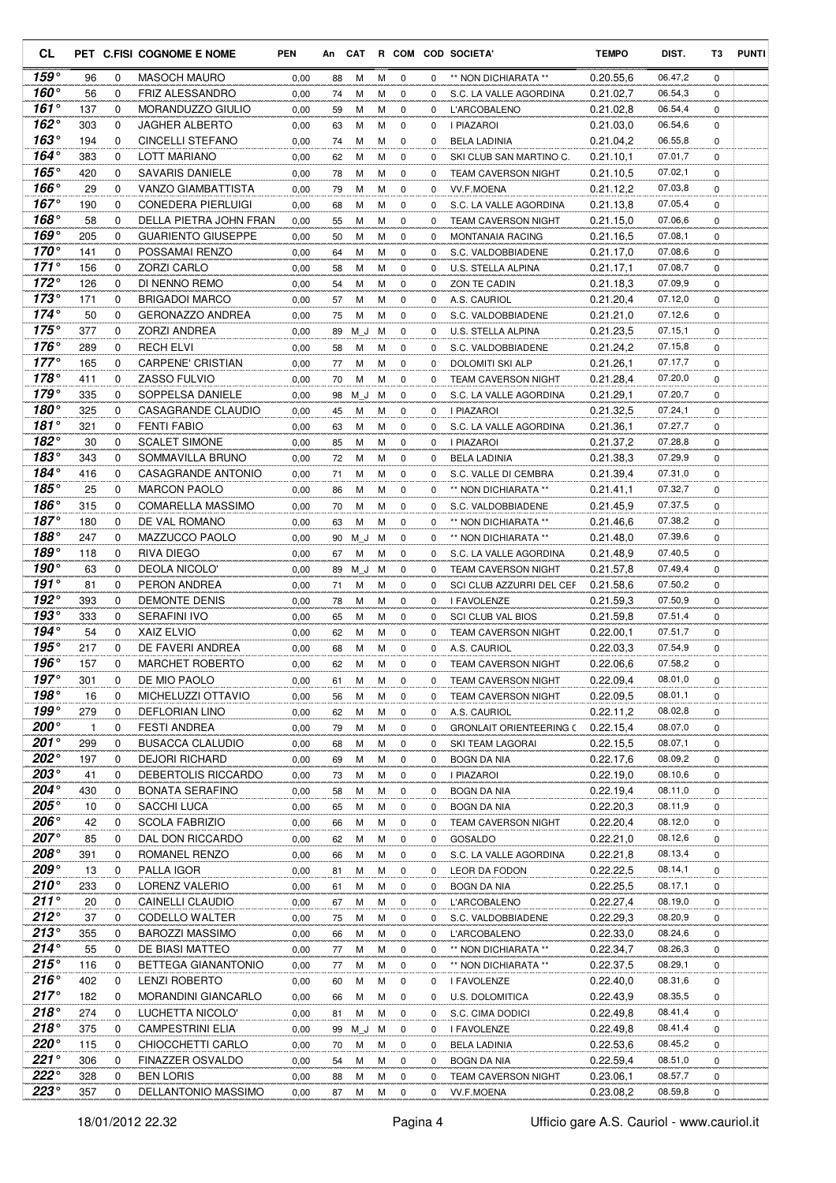| <b>CL</b>                  |            |               | PET C.FISI COGNOME E NOME                   | <b>PEN</b>   | An       | CAT      |        |                            |               | R COM COD SOCIETA'                         | <b>TEMPO</b>           | DIST.              | T3            | <b>PUNTI</b> |
|----------------------------|------------|---------------|---------------------------------------------|--------------|----------|----------|--------|----------------------------|---------------|--------------------------------------------|------------------------|--------------------|---------------|--------------|
| 159°                       | 96         | 0             | <b>MASOCH MAURO</b>                         | 0,00         | 88       | м        | м      | 0                          | 0             | ** NON DICHIARATA **                       | 0.20.55,6              | 06.47,2            | 0             |              |
| 160°                       | 56         | 0             | <b>FRIZ ALESSANDRO</b>                      | 0,00         | 74       | М        | м      | 0                          | $\Omega$      | S.C. LA VALLE AGORDINA                     | 0.21.02,7              | 06.54,3            | 0             |              |
| $161^\circ$                | 137        | 0             | MORANDUZZO GIULIO                           | 0,00         | 59       | М        | M      | 0                          | 0             | <b>L'ARCOBALENO</b>                        | 0.21.02,8              | 06.54,4            | 0             |              |
| $162^\circ$                | 303        | 0             | <b>JAGHER ALBERTO</b>                       | 0,00         | 63       | м        | M      | $\mathbf 0$                | 0             | I PIAZAROI                                 | 0.21.03,0              | 06.54,6            | 0             |              |
| $163^\circ$                | 194        | $\Omega$      | <b>CINCELLI STEFANO</b>                     | 0,00         | 74       | М        | M      | 0                          | 0             | <b>BELA LADINIA</b>                        | 0.21.04,2              | 06.55,8            | 0             |              |
| 164°                       | 383        | 0             | LOTT MARIANO                                | 0,00         | 62       | м        | M      | $\mathbf 0$                | $\Omega$      | SKI CLUB SAN MARTINO C.                    | 0.21.10,1              | 07.01,7            | 0             |              |
| 165°                       | 420        | $\mathbf 0$   | <b>SAVARIS DANIELE</b>                      | 0,00         | 78       | м        | M      | 0                          | 0             | <b>TEAM CAVERSON NIGHT</b>                 | 0.21.10,5              | 07.02,1            | 0             |              |
| 166 $^{\circ}$             | 29         | 0             | <b>VANZO GIAMBATTISTA</b>                   | 0,00         | 79       | м        | M      | 0                          | 0             | <b>VV.F.MOENA</b>                          | 0.21.12,2              | 07.03,8            | 0             |              |
| 167 $^{\circ}$             | 190        | 0             | <b>CONEDERA PIERLUIGI</b>                   | 0,00         | 68       | м        | м      | 0                          | 0             | S.C. LA VALLE AGORDINA                     | 0.21.13,8              | 07.05,4            | 0             |              |
| 168 $^{\circ}$             | 58         | 0             | DELLA PIETRA JOHN FRAN                      | 0,00         | 55       | М        | м      | $\mathbf 0$                | 0             | <b>TEAM CAVERSON NIGHT</b>                 | 0.21.15.0              | 07.06,6            | 0             |              |
| 169°<br>$170^\circ$        | 205        | 0             | <b>GUARIENTO GIUSEPPE</b>                   | 0,00         | 50       | м        | м      | $\mathbf 0$                | $\Omega$      | MONTANAIA RACING                           | 0.21.16,5              | 07.08,1            | $\Omega$      |              |
| $171^\circ$                | 141<br>156 | 0<br>0        | POSSAMAI RENZO<br><b>ZORZI CARLO</b>        | 0,00         | 64       | м<br>М   | M<br>M | $\mathbf 0$<br>$\mathbf 0$ | 0<br>0        | S.C. VALDOBBIADENE                         | 0.21.17,0              | 07.08,6<br>07.08,7 | 0<br>0        |              |
| $172^\circ$                | 126        | 0             | DI NENNO REMO                               | 0,00<br>0,00 | 58<br>54 | м        | м      | 0                          | 0             | U.S. STELLA ALPINA<br>ZON TE CADIN         | 0.21.17,1<br>0.21.18,3 | 07.09,9            | 0             |              |
| $173^\circ$                | 171        | $\mathbf 0$   | <b>BRIGADOI MARCO</b>                       | 0,00         | 57       | м        | M      | 0                          | 0             | A.S. CAURIOL                               | 0.21.20,4              | 07.12,0            | 0             |              |
| 174 $^{\circ}$             | 50         | $\mathbf 0$   | <b>GERONAZZO ANDREA</b>                     | 0,00         | 75       | м        | M      | 0                          | 0             | S.C. VALDOBBIADENE                         | 0.21.21,0              | 07.12,6            | 0             |              |
| 175 $^{\circ}$             | 377        | 0             | <b>ZORZI ANDREA</b>                         | 0,00         | 89       | M J      | M      | 0                          | 0             | U.S. STELLA ALPINA                         | 0.21.23,5              | 07.15,1            | 0             |              |
| $176^\circ$                | 289        | 0             | <b>RECH ELVI</b>                            | 0,00         | 58       | м        | м      | $\mathbf 0$                | 0             | S.C. VALDOBBIADENE                         | 0.21.24,2              | 07.15,8            | 0             |              |
| $177^\circ$                | 165        | 0             | <b>CARPENE' CRISTIAN</b>                    | 0,00         | 77       | М        | м      | 0                          | 0             | DOLOMITI SKI ALP                           | 0.21.26,1              | 07.17,7            | 0             |              |
| $178^\circ$                | 411        | 0             | ZASSO FULVIO                                | 0,00         | 70       | М        | M      | $\mathbf 0$                | 0             | <b>TEAM CAVERSON NIGHT</b>                 | 0.21.28,4              | 07.20,0            | 0             |              |
| $179^\circ$                | 335        | 0             | SOPPELSA DANIELE                            | 0,00         | 98       | M J      | м      | $\mathbf 0$                | 0             | S.C. LA VALLE AGORDINA                     | 0.21.29,1              | 07.20,7            | 0             |              |
| 180°                       | 325        | 0             | CASAGRANDE CLAUDIO                          | 0,00         | 45       | м        | М      | 0                          | 0             | I PIAZAROI                                 | 0.21.32,5              | 07.24,1            | 0             |              |
| 181 $^{\circ}$             | 321        | 0             | <b>FENTI FABIO</b>                          | 0,00         | 63       | м        | M      | $\mathbf 0$                | $\Omega$      | S.C. LA VALLE AGORDINA                     | 0.21.36.1              | 07.27,7            | 0             |              |
| 182°                       | 30         | $\mathbf 0$   | <b>SCALET SIMONE</b>                        | 0,00         | 85       | М        | M      | $\mathbf 0$                | 0             | I PIAZAROI                                 | 0.21.37,2              | 07.28,8            | 0             |              |
| 183 $^{\circ}$             | 343        | 0             | SOMMAVILLA BRUNO                            | 0,00         | 72       | м        | M      | 0                          | 0             | <b>BELA LADINIA</b>                        | 0.21.38,3              | 07.29,9            | 0             |              |
| 184°                       | 416        | 0             | CASAGRANDE ANTONIO                          | 0,00         | 71       | М        | м      | 0                          | 0             | S.C. VALLE DI CEMBRA                       | 0.21.39,4              | 07.31,0            | 0             |              |
| 185°                       | 25         | 0             | <b>MARCON PAOLO</b>                         | 0,00         | 86       | м        | м      | 0                          | $\Omega$      | ** NON DICHIARATA **                       | 0.21.41,1              | 07.32,7            | 0             |              |
| 186°                       | 315        | 0             | <b>COMARELLA MASSIMO</b>                    | 0,00         | 70       | М        | М      | 0                          | 0             | S.C. VALDOBBIADENE                         | 0.21.45,9              | 07.37,5            | 0             |              |
| $187^\circ$                | 180        | $\Omega$      | DE VAL ROMANO                               | 0,00         | 63       | м        | M      | $\mathbf 0$                | 0             | ** NON DICHIARATA **                       | 0.21.46,6              | 07.38,2            | 0             |              |
| 188°                       | 247        | 0             | MAZZUCCO PAOLO                              | 0,00         | 90       | ΜJ       | м      | $\mathbf 0$                | 0             | ** NON DICHIARATA **                       | 0.21.48,0              | 07.39,6            | 0             |              |
| $189^\circ$                | 118        | 0             | RIVA DIEGO                                  | 0,00         | 67       | м        | M      | 0                          | 0             | S.C. LA VALLE AGORDINA                     | 0.21.48,9              | 07.40,5            | 0             |              |
| 190°                       | 63         | $\mathbf 0$   | DEOLA NICOLO'                               | 0,00         | 89       | M J      | м      | $\mathbf 0$                | 0             | <b>TEAM CAVERSON NIGHT</b>                 | 0.21.57.8              | 07.49,4            | 0             |              |
| $191^\circ$                | 81         | $\mathbf 0$   | PERON ANDREA                                | 0,00         | 71       | м        | M      | 0                          | 0             | SCI CLUB AZZURRI DEL CEF                   | 0.21.58,6              | 07.50,2            | 0             |              |
| 192°                       | 393        | 0             | <b>DEMONTE DENIS</b>                        | 0,00         | 78       | м        | м      | 0                          | 0             | I FAVOLENZE                                | 0.21.59,3              | 07.50,9            | 0             |              |
| 193°                       | 333        | 0             | <b>SERAFINI IVO</b>                         | 0,00         | 65       | М        | м      | 0                          | 0             | <b>SCI CLUB VAL BIOS</b>                   | 0.21.59.8              | 07.51,4            | 0             |              |
| 194°<br>$195^\circ$        | 54         | 0             | <b>XAIZ ELVIO</b>                           | 0,00         | 62       | м        | м      | $\mathbf 0$                | $\Omega$      | <b>TEAM CAVERSON NIGHT</b>                 | 0.22.00,1              | 07.51,7<br>07.54,9 | 0             |              |
| $196^\circ$                | 217<br>157 | 0<br>$\Omega$ | DE FAVERI ANDREA<br><b>MARCHET ROBERTO</b>  | 0,00<br>0,00 | 68<br>62 | М<br>М   | M<br>M | $\mathbf 0$<br>$\Omega$    | 0<br>$\Omega$ | A.S. CAURIOL<br><b>TEAM CAVERSON NIGHT</b> | 0.22.03.3<br>0.22.06.6 | 07.58,2            | 0<br>$\Omega$ |              |
| $197^\circ$                | 301        | 0             | DE MIO PAOLO                                | 0,00         | 61       | м        | М      | 0                          | 0             | TEAM CAVERSON NIGHT                        | 0.22.09,4              | 08.01,0            | 0             |              |
| 198 $^{\circ}$             | 16         | 0             | MICHELUZZI OTTAVIO                          | 0,00         | 56       | М        | М      | 0                          | 0             | <b>TEAM CAVERSON NIGHT</b>                 | 0.22.09,5              | 08.01,1            | 0             |              |
| $199^\circ$                | 279        | 0             | <b>DEFLORIAN LINO</b>                       | 0,00         | 62       | м        | М      | 0                          | 0             | A.S. CAURIOL                               | 0.22.11,2              | 08.02,8            | 0             |              |
| $200^{\circ}$              | 1          | 0             | <b>FESTI ANDREA</b>                         | 0,00         | 79       | м        | М      | 0                          | 0             | <b>GRONLAIT ORIENTEERING C</b>             | 0.22.15,4              | 08.07,0            | 0             |              |
| $201^{\circ}$              | 299        | 0             | <b>BUSACCA CLALUDIO</b>                     | 0,00         | 68       | М        | М      | 0                          | 0             | SKI TEAM LAGORAI                           | 0.22.15,5              | 08.07,1            | 0             |              |
| $202^\circ$                | 197        | 0             | <b>DEJORI RICHARD</b>                       | 0,00         | 69       | М        | М      | 0                          | 0             | BOGN DA NIA                                | 0.22.17,6              | 08.09,2            | 0             |              |
| 203 $^{\circ}$             | 41         | 0             | DEBERTOLIS RICCARDO                         | 0,00         | 73       | м        | м      | 0                          | 0             | I PIAZAROI                                 | 0.22.19,0              | 08.10,6            | 0             |              |
| $204^{\circ}$              | 430        | 0             | <b>BONATA SERAFINO</b>                      | 0,00         | 58       | М        | M      | 0                          | 0             | BOGN DA NIA                                | 0.22.19,4              | 08.11,0            | 0             |              |
| $205^\circ$                | 10         | 0             | SACCHI LUCA                                 | 0,00         | 65       | М        | М      | 0                          | 0             | BOGN DA NIA                                | 0.22.20,3              | 08.11,9            | 0             |              |
| $206^\circ$                | 42         | 0             | <b>SCOLA FABRIZIO</b>                       | 0,00         | 66       | М        | M      | 0                          | 0             | <b>TEAM CAVERSON NIGHT</b>                 | 0.22.20,4              | 08.12,0            | 0             |              |
| 207°                       | 85         | $\mathbf 0$   | DAL DON RICCARDO                            | 0,00         | 62       | М        | М      | 0                          | 0             | GOSALDO                                    | 0.22.21,0              | 08.12,6            | 0             |              |
| $208^\circ$                | 391        | 0             | ROMANEL RENZO                               | 0,00         | 66       | М        | M      | 0                          | 0             | S.C. LA VALLE AGORDINA                     | 0.22.21,8              | 08.13,4            | 0             |              |
| $209^\circ$                | 13         | 0             | PALLA IGOR                                  | 0,00         | 81       | м        | М      | 0                          | 0             | LEOR DA FODON                              | 0.22.22,5              | 08.14,1            | 0             |              |
| $210^{\circ}$              | 233        | 0             | LORENZ VALERIO                              | 0,00         | 61       | М        | м      | 0                          | 0             | <b>BOGN DA NIA</b>                         | 0.22.25,5              | 08.17,1            | 0             |              |
| $211^\circ$                | 20         | 0             | CAINELLI CLAUDIO                            | 0,00         | 67       | М        | М      | 0                          | 0             | L'ARCOBALENO                               | 0.22.27,4              | 08.19,0            | 0             |              |
| $212^\circ$                | 37         | 0             | CODELLO WALTER                              | 0,00         | 75       | М        | M      | 0                          | 0             | S.C. VALDOBBIADENE                         | 0.22.29,3              | 08.20,9            | 0             |              |
| 213°                       | 355        | 0             | <b>BAROZZI MASSIMO</b>                      | 0,00         | 66       | M        | М      | 0                          | 0             | L'ARCOBALENO                               | 0.22.33,0              | 08.24,6            | 0             |              |
| $214^\circ$                | 55         | 0             | DE BIASI MATTEO                             | 0,00         | 77       | M        | М      | 0                          | 0             | ** NON DICHIARATA **                       | 0.22.34,7              | 08.26,3            | 0             |              |
| 215°                       | 116        | 0             | BETTEGA GIANANTONIO                         | 0,00         | 77       | М        | м      | 0                          | 0             | ** NON DICHIARATA **                       | 0.22.37,5              | 08.29,1            | 0             |              |
| $216^\circ$                | 402        | 0             | <b>LENZI ROBERTO</b>                        | 0,00         | 60       | м        | M      | 0                          | 0             | I FAVOLENZE                                | 0.22.40,0              | 08.31,6            | 0             |              |
| $217^\circ$<br>$218^\circ$ | 182        | 0             | MORANDINI GIANCARLO                         | 0,00         | 66       | м        | М      | 0                          | 0             | U.S. DOLOMITICA                            | 0.22.43,9              | 08.35,5            | 0             |              |
| $218^\circ$                | 274<br>375 | 0<br>0        | LUCHETTA NICOLO'<br><b>CAMPESTRINI ELIA</b> | 0,00         | 81       | М        | м      | 0                          | 0<br>0        | S.C. CIMA DODICI                           | 0.22.49,8              | 08.41,4<br>08.41,4 | 0<br>0        |              |
| $220^{\circ}$              | 115        | 0             | CHIOCCHETTI CARLO                           | 0,00<br>0,00 | 99<br>70 | M J<br>М | М<br>M | 0<br>0                     | 0             | I FAVOLENZE<br><b>BELA LADINIA</b>         | 0.22.49,8<br>0.22.53,6 | 08.45,2            | 0             |              |
| $221^{\circ}$              | 306        | 0             | FINAZZER OSVALDO                            | 0,00         | 54       | М        | M      | 0                          | 0             | BOGN DA NIA                                | 0.22.59,4              | 08.51,0            | 0             |              |
| $222^\circ$                | 328        | 0             | <b>BEN LORIS</b>                            | 0,00         | 88       | М        | M      | 0                          | 0             | TEAM CAVERSON NIGHT                        | 0.23.06,1              | 08.57,7            | 0             |              |
| 223°                       | 357        | 0             | DELLANTONIO MASSIMO                         | 0,00         | 87       | M        | М      | 0                          | 0             | VV.F.MOENA                                 | 0.23.08,2              | 08.59,8            | 0             |              |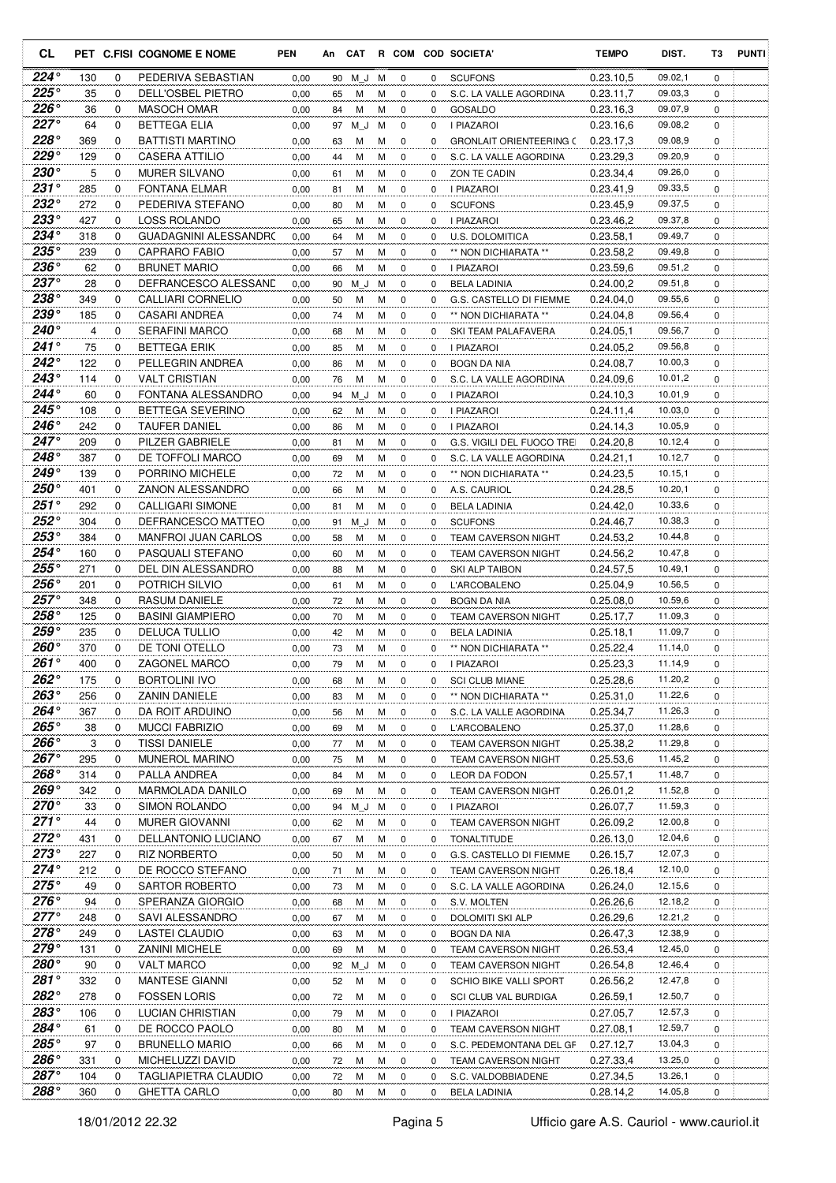| <b>CL</b>                  |                |               | PET C.FISI COGNOME E NOME                    | <b>PEN</b>   | An       | CAT      |        |                            |                      | R COM COD SOCIETA'                             | <b>TEMPO</b>           | DIST.              | T3            | <b>PUNTI</b> |
|----------------------------|----------------|---------------|----------------------------------------------|--------------|----------|----------|--------|----------------------------|----------------------|------------------------------------------------|------------------------|--------------------|---------------|--------------|
| 224°                       | 130            | 0             | PEDERIVA SEBASTIAN                           | 0,00         | 90       | M J      | М      | 0                          | $\mathbf 0$          | <b>SCUFONS</b>                                 | 0.23.10.5              | 09.02,1            | $\mathbf 0$   |              |
| 225°                       | 35             | $\Omega$      | DELL'OSBEL PIETRO                            | 0,00         | 65       | м        | м      | 0                          | $\Omega$             | S.C. LA VALLE AGORDINA                         | 0.23.11,7              | 09.03,3            | $\Omega$      |              |
| $226^\circ$                | 36             | 0             | <b>MASOCH OMAR</b>                           | 0,00         | 84       | М        | м      | 0                          | 0                    | <b>GOSALDO</b>                                 | 0.23.16,3              | 09.07,9            | 0             |              |
| $227^\circ$                | 64             | 0             | <b>BETTEGA ELIA</b>                          | 0,00         | 97       | ΜJ       | м      | $\mathbf 0$                | 0                    | I PIAZAROI                                     | 0.23.16,6              | 09.08,2            | 0             |              |
| $228^\circ$                | 369            | 0             | <b>BATTISTI MARTINO</b>                      | 0,00         | 63       | м        | M      | $\mathbf 0$                | $\mathbf 0$          | <b>GRONLAIT ORIENTEERING C</b>                 | 0.23.17.3              | 09.08,9            | 0             |              |
| 229°                       | 129            | 0             | <b>CASERA ATTILIO</b>                        | 0,00         | 44       | М        | м      | $\mathbf 0$                | $\Omega$             | S.C. LA VALLE AGORDINA                         | 0.23.29.3              | 09.20,9            | 0             |              |
| 230°                       | 5              | 0             | <b>MURER SILVANO</b>                         | 0,00         | 61       | М        | M      | $\mathbf 0$                | $\mathbf 0$          | ZON TE CADIN                                   | 0.23.34,4              | 09.26,0            | 0             |              |
| $231^{\circ}$              | 285            | 0             | <b>FONTANA ELMAR</b>                         | 0,00         | 81       | М        | м      | $\mathbf 0$                | $\mathbf 0$          | I PIAZAROI                                     | 0.23.41,9              | 09.33,5            | 0             |              |
| $232^\circ$<br>$233^\circ$ | 272            | 0             | PEDERIVA STEFANO                             | 0.00         | 80       | М        | М      | $\mathbf 0$                | 0                    | <b>SCUFONS</b>                                 | 0.23.45,9              | 09.37,5            | 0             |              |
| 234°                       | 427<br>318     | 0<br>$\Omega$ | <b>LOSS ROLANDO</b><br>GUADAGNINI ALESSANDRC | 0,00<br>0,00 | 65       | м<br>м   | М<br>М | $\mathbf 0$<br>$\mathbf 0$ | 0<br>$\Omega$        | <b>I PIAZAROI</b><br><b>U.S. DOLOMITICA</b>    | 0.23.46,2<br>0.23.58,1 | 09.37,8<br>09.49,7 | 0<br>0        |              |
| 235°                       | 239            | 0             | <b>CAPRARO FABIO</b>                         | 0,00         | 64<br>57 | м        | М      | $\mathbf 0$                | 0                    | ** NON DICHIARATA **                           | 0.23.58,2              | 09.49,8            | 0             |              |
| $236^\circ$                | 62             | 0             | <b>BRUNET MARIO</b>                          | 0,00         | 66       | М        | M      | $\mathbf 0$                | 0                    | I PIAZAROI                                     | 0.23.59,6              | 09.51,2            | 0             |              |
| 237°                       | 28             | $\Omega$      | DEFRANCESCO ALESSAND                         | 0,00         | 90       | M J      | M      | $\mathbf 0$                | $\Omega$             | <b>BELA LADINIA</b>                            | 0.24.00.2              | 09.51,8            | $\Omega$      |              |
| $238^\circ$                | 349            | 0             | CALLIARI CORNELIO                            | 0,00         | 50       | М        | М      | $\mathbf 0$                | 0                    | G.S. CASTELLO DI FIEMME                        | 0.24.04,0              | 09.55,6            | 0             |              |
| $239^\circ$                | 185            | 0             | CASARI ANDREA                                | 0,00         | 74       | М        | M      | $\mathbf 0$                | 0                    | ** NON DICHIARATA **                           | 0.24.04.8              | 09.56,4            | 0             |              |
| 240°                       | $\overline{4}$ | 0             | <b>SERAFINI MARCO</b>                        | 0,00         | 68       | М        | М      | $\mathbf 0$                | 0                    | SKI TEAM PALAFAVERA                            | 0.24.05,1              | 09.56,7            | 0             |              |
| 241°                       | 75             | 0             | <b>BETTEGA ERIK</b>                          | 0,00         | 85       | М        | М      | $\mathbf 0$                | 0                    | I PIAZAROI                                     | 0.24.05.2              | 09.56,8            | 0             |              |
| 242°                       | 122            | $\Omega$      | PELLEGRIN ANDREA                             | 0,00         | 86       | м        | М      | $\mathbf 0$                | $\Omega$             | <b>BOGN DA NIA</b>                             | 0.24.08.7              | 10.00,3            | 0             |              |
| $243^\circ$                | 114            | 0             | <b>VALT CRISTIAN</b>                         | 0,00         | 76       | M        | M      | 0                          | $\Omega$             | S.C. LA VALLE AGORDINA                         | 0.24.09.6              | 10.01,2            | 0             |              |
| 244°                       | 60             | 0             | FONTANA ALESSANDRO                           | 0,00         | 94       | ΜJ       | м      | $\mathbf 0$                | 0                    | I PIAZAROI                                     | 0.24.10,3              | 10.01,9            | 0             |              |
| $245^\circ$                | 108            | 0             | <b>BETTEGA SEVERINO</b>                      | 0,00         | 62       | М        | М      | $\mathbf 0$                | 0                    | I PIAZAROI                                     | 0.24.11,4              | 10.03,0            | 0             |              |
| 246°                       | 242            | $\Omega$      | <b>TAUFER DANIEL</b>                         | 0,00         | 86       | М        | М      | $\mathbf 0$                | $\Omega$             | <b>I PIAZAROI</b>                              | 0.24.14,3              | 10.05,9            | $\Omega$      |              |
| $247^\circ$                | 209            | 0             | PILZER GABRIELE                              | 0,00         | 81       | М        | м      | $\mathbf 0$                | $\mathbf 0$          | G.S. VIGILI DEL FUOCO TREI                     | 0.24.20.8              | 10.12,4            | 0             |              |
| 248°                       | 387            | $\Omega$      | DE TOFFOLI MARCO                             | 0,00         | 69       | М        | м      | $\mathbf 0$                | 0                    | S.C. LA VALLE AGORDINA                         | 0.24.21,1              | 10.12,7            | 0             |              |
| 249°<br>250°               | 139            | $\Omega$      | PORRINO MICHELE                              | 0,00         | 72       | м        | м      | $\mathbf 0$                | $\Omega$             | ** NON DICHIARATA **                           | 0.24.23,5              | 10.15,1            | 0             |              |
| $251^\circ$                | 401<br>292     | $\Omega$<br>0 | ZANON ALESSANDRO<br><b>CALLIGARI SIMONE</b>  | 0,00         | 66       | м        | м<br>М | 0<br>0                     | $\Omega$<br>$\Omega$ | A.S. CAURIOL                                   | 0.24.28,5<br>0.24.42,0 | 10.20,1<br>10.33,6 | $\Omega$<br>0 |              |
| $252^\circ$                | 304            | $\Omega$      | DEFRANCESCO MATTEO                           | 0,00<br>0,00 | 81<br>91 | М<br>M J | м      | $\mathbf 0$                | 0                    | <b>BELA LADINIA</b><br><b>SCUFONS</b>          | 0.24.46,7              | 10.38,3            | 0             |              |
| $253^\circ$                | 384            | $\Omega$      | <b>MANFROI JUAN CARLOS</b>                   | 0,00         | 58       | М        | M      | $\mathbf 0$                | 0                    | <b>TEAM CAVERSON NIGHT</b>                     | 0.24.53,2              | 10.44,8            | 0             |              |
| $254^\circ$                | 160            | 0             | PASQUALI STEFANO                             | 0,00         | 60       | м        | м      | 0                          | $\Omega$             | <b>TEAM CAVERSON NIGHT</b>                     | 0.24.56,2              | 10.47,8            | 0             |              |
| $255^\circ$                | 271            | 0             | DEL DIN ALESSANDRO                           | 0,00         | 88       | м        | M      | 0                          | 0                    | SKI ALP TAIBON                                 | 0.24.57,5              | 10.49,1            | 0             |              |
| $256^\circ$                | 201            | 0             | <b>POTRICH SILVIO</b>                        | 0,00         | 61       | М        | М      | $\mathbf 0$                | 0                    | L'ARCOBALENO                                   | 0.25.04,9              | 10.56,5            | 0             |              |
| $257^\circ$                | 348            | $\mathbf 0$   | <b>RASUM DANIELE</b>                         | 0,00         | 72       | М        | М      | 0                          | 0                    | <b>BOGN DA NIA</b>                             | 0.25.08,0              | 10.59,6            | 0             |              |
| 258°                       | 125            | 0             | <b>BASINI GIAMPIERO</b>                      | 0,00         | 70       | М        | М      | $\mathbf 0$                | 0                    | <b>TEAM CAVERSON NIGHT</b>                     | 0.25.17,7              | 11.09,3            | 0             |              |
| $259^\circ$                | 235            | $\Omega$      | <b>DELUCA TULLIO</b>                         | 0,00         | 42       | м        | М      | 0                          | 0                    | <b>BELA LADINIA</b>                            | 0.25.18.1              | 11.09,7            | 0             |              |
| $260^\circ$                | 370            | 0             | DE TONI OTELLO                               | 0,00         | 73       | м        | М      | $\mathbf 0$                | $\Omega$             | ** NON DICHIARATA **                           | 0.25.22,4              | 11.14,0            | 0             |              |
| $261^\circ$                | 400            | $\Omega$      | ZAGONEL MARCO                                | 0,00         | 79       | м        | M      | $\mathbf 0$                | 0                    | I PIAZAROI                                     | 0.25.23,3              | 11.14,9            | 0             |              |
| 262°                       | 175            | 0             | <b>BORTOLINI IVO</b>                         | 0,00         | 68       | М        | м      | 0                          | 0                    | <b>SCI CLUB MIANE</b>                          | 0.25.28,6              | 11.20,2            | 0             |              |
| $263^\circ$                | 256            | 0             | <b>ZANIN DANIELE</b>                         | 0,00         | 83       | М        | м      | 0                          | 0                    | ** NON DICHIARATA **                           | 0.25.31,0              | 11.22,6            | 0             |              |
| 264°                       | 367            | 0             | DA ROIT ARDUINO                              | 0,00         | 56       | М        | М      | 0                          | 0                    | S.C. LA VALLE AGORDINA                         | 0.25.34,7              | 11.26,3            | 0             |              |
| 265°<br>266°               | 38<br>3        | 0<br>0        | MUCCI FABRIZIO<br><b>TISSI DANIELE</b>       | 0,00         | 69       | М<br>М   | М<br>М | 0<br>0                     | 0<br>0               | L'ARCOBALENO<br>TEAM CAVERSON NIGHT            | 0.25.37,0<br>0.25.38,2 | 11.28,6<br>11.29,8 | 0<br>0        |              |
| $267^\circ$                | 295            | 0             | MUNEROL MARINO                               | 0,00<br>0,00 | 77<br>75 | М        | М      | 0                          | 0                    | <b>TEAM CAVERSON NIGHT</b>                     | 0.25.53,6              | 11.45,2            | 0             |              |
| 268°                       | 314            | 0             | PALLA ANDREA                                 | 0,00         | 84       | м        | М      | 0                          | 0                    | LEOR DA FODON                                  | 0.25.57,1              | 11.48,7            | 0             |              |
| 269°                       | 342            | 0             | MARMOLADA DANILO                             | 0,00         | 69       | M        | M      | 0                          | 0                    | <b>TEAM CAVERSON NIGHT</b>                     | 0.26.01,2              | 11.52,8            | 0             |              |
| $270^{\circ}$              | 33             | 0             | SIMON ROLANDO                                | 0,00         | 94       | M J      | M      | 0                          | 0                    | I PIAZAROI                                     | 0.26.07,7              | 11.59,3            | 0             |              |
| $271^\circ$                | 44             | 0             | <b>MURER GIOVANNI</b>                        | 0,00         | 62       | М        | M      | 0                          | 0                    | TEAM CAVERSON NIGHT                            | 0.26.09,2              | 12.00,8            | 0             |              |
| $272^\circ$                | 431            | 0             | DELLANTONIO LUCIANO                          | 0,00         | 67       | М        | M      | 0                          | 0                    | <b>TONALTITUDE</b>                             | 0.26.13,0              | 12.04,6            | 0             |              |
| $273^\circ$                | 227            | 0             | <b>RIZ NORBERTO</b>                          | 0,00         | 50       | М        | M      | 0                          | 0                    | G.S. CASTELLO DI FIEMME                        | 0.26.15,7              | 12.07,3            | 0             |              |
| $274^\circ$                | 212            | 0             | DE ROCCO STEFANO                             | 0,00         | 71       | м        | M      | 0                          | 0                    | TEAM CAVERSON NIGHT                            | 0.26.18,4              | 12.10,0            | 0             |              |
| $275^{\circ}$              | 49             | 0             | SARTOR ROBERTO                               | 0,00         | 73       | М        | м      | 0                          | 0                    | S.C. LA VALLE AGORDINA                         | 0.26.24,0              | 12.15,6            | 0             |              |
| $276^\circ$                | 94             | 0             | SPERANZA GIORGIO                             | 0,00         | 68       | м        | м      | 0                          | 0                    | S.V. MOLTEN                                    | 0.26.26,6              | 12.18,2            | 0             |              |
| $277^\circ$                | 248            | 0             | SAVI ALESSANDRO                              | 0,00         | 67       | М        | M      | 0                          | 0                    | DOLOMITI SKI ALP                               | 0.26.29,6              | 12.21,2            | 0             |              |
| $278^\circ$                | 249            | 0             | LASTEI CLAUDIO                               | 0,00         | 63       | M        | М      | 0                          | 0                    | <b>BOGN DA NIA</b>                             | 0.26.47,3              | 12.38,9            | 0             |              |
| 279°                       | 131            | 0             | <b>ZANINI MICHELE</b>                        | 0,00         | 69       | M        | М      | 0                          | 0                    | TEAM CAVERSON NIGHT                            | 0.26.53,4              | 12.45,0            | 0             |              |
| 280°                       | 90             | $\mathbf 0$   | <b>VALT MARCO</b>                            | 0,00         | 92       | M J M    |        | 0                          | 0                    | <b>TEAM CAVERSON NIGHT</b>                     | 0.26.54,8              | 12.46,4            | 0             |              |
| $281^\circ$                | 332            | 0             | MANTESE GIANNI                               | 0,00         | 52       | М        | M      | 0                          | 0                    | SCHIO BIKE VALLI SPORT                         | 0.26.56,2              | 12.47,8            | 0             |              |
| $282^\circ$                | 278            | 0             | <b>FOSSEN LORIS</b>                          | 0,00         | 72       | М        | M      | 0                          | 0                    | SCI CLUB VAL BURDIGA                           | 0.26.59,1              | 12.50,7            | 0             |              |
| 283°<br>284°               | 106            | 0             | LUCIAN CHRISTIAN<br>DE ROCCO PAOLO           | 0,00         | 79       | М        | M      | 0                          | 0                    | I PIAZAROI                                     | 0.27.05,7              | 12.57,3<br>12.59,7 | 0             |              |
| 285°                       | 61<br>97       | 0<br>0        | <b>BRUNELLO MARIO</b>                        | 0,00<br>0,00 | 80<br>66 | М<br>M   | М<br>M | 0<br>0                     | 0<br>0               | TEAM CAVERSON NIGHT<br>S.C. PEDEMONTANA DEL GF | 0.27.08,1<br>0.27.12,7 | 13.04,3            | 0<br>0        |              |
| 286°                       | 331            | 0             | MICHELUZZI DAVID                             | 0,00         | 72       | M        | М      | 0                          | 0                    | TEAM CAVERSON NIGHT                            | 0.27.33,4              | 13.25,0            | 0             |              |
| 287°                       | 104            | 0             | <b>TAGLIAPIETRA CLAUDIO</b>                  | 0,00         | 72       | М        | M      | 0                          | 0                    | S.C. VALDOBBIADENE                             | 0.27.34,5              | 13.26,1            | 0             |              |
| 288°                       | 360            | 0             | <b>GHETTA CARLO</b>                          | 0,00         | 80       | М        | М      | $\mathbf 0$                | 0                    | <b>BELA LADINIA</b>                            | 0.28.14,2              | 14.05,8            | 0             |              |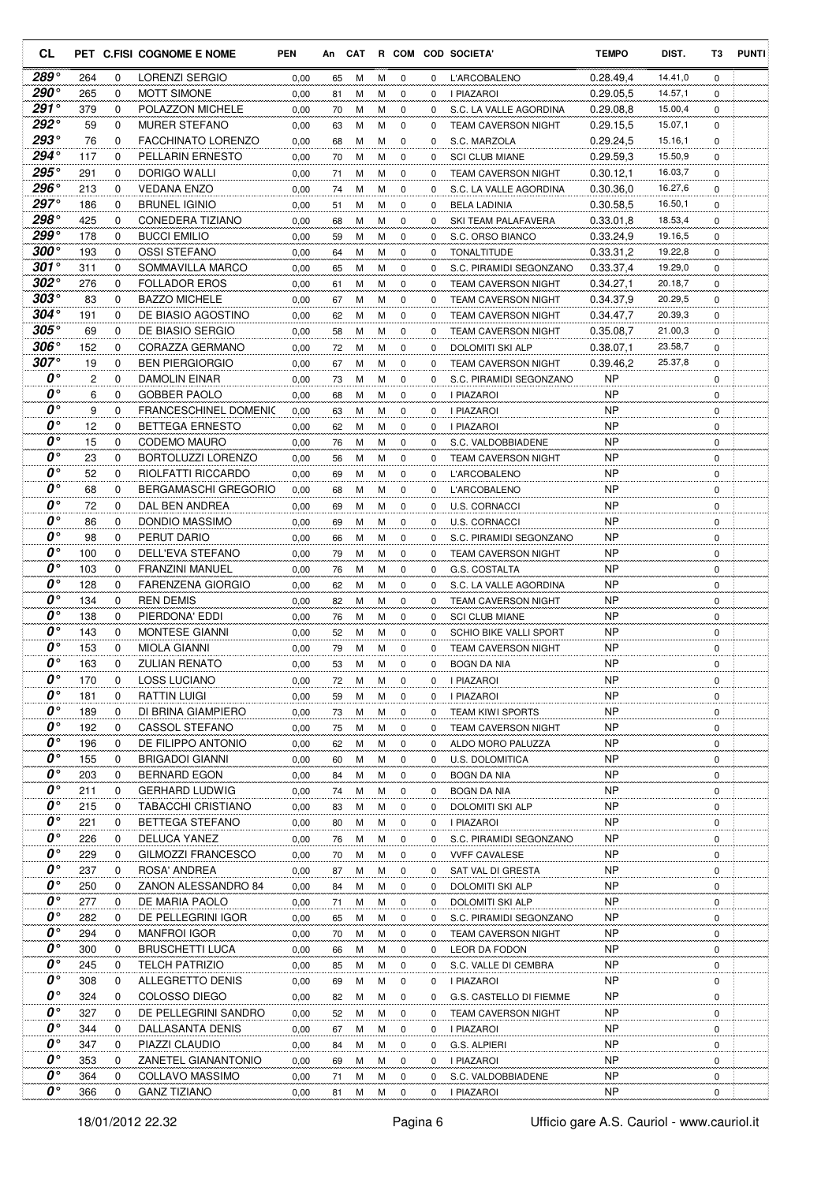| <b>CL</b>                           |            |              | PET C.FISI COGNOME E NOME                              | <b>PEN</b>   | An       | CAT    |        |                            |               | R COM COD SOCIETA'                                          | <b>TEMPO</b>           | DIST.              | T3          | <b>PUNTI</b> |
|-------------------------------------|------------|--------------|--------------------------------------------------------|--------------|----------|--------|--------|----------------------------|---------------|-------------------------------------------------------------|------------------------|--------------------|-------------|--------------|
| 289°                                | 264        | 0            | LORENZI SERGIO                                         | 0,00         | 65       | м      | м      | 0                          | 0             | <b>L'ARCOBALENO</b>                                         | 0.28.49,4              | 14.41,0            | $\mathbf 0$ |              |
| 290°                                | 265        | $\Omega$     | <b>MOTT SIMONE</b>                                     | 0,00         | 81       | м      | м      | 0                          | 0             | I PIAZAROI                                                  | 0.29.05.5              | 14.57,1            | $\Omega$    |              |
| $291^\circ$                         | 379        | 0            | POLAZZON MICHELE                                       | 0,00         | 70       | м      | M      | $\mathbf 0$                | $\Omega$      | S.C. LA VALLE AGORDINA                                      | 0.29.08.8              | 15.00,4            | 0           |              |
| $292^\circ$                         | 59         | 0            | <b>MURER STEFANO</b>                                   | 0,00         | 63       | М      | М      | $\mathbf 0$                | 0             | <b>TEAM CAVERSON NIGHT</b>                                  | 0.29.15,5              | 15.07,1            | 0           |              |
| 293°                                | 76         | 0            | <b>FACCHINATO LORENZO</b>                              | 0,00         | 68       | м      | м      | 0                          | 0             | S.C. MARZOLA                                                | 0.29.24.5              | 15.16,1            | 0           |              |
| 294°                                | 117        | 0            | <b>PELLARIN ERNESTO</b>                                | 0,00         | 70       | м      | м      | $\mathbf 0$                | $\Omega$      | <b>SCI CLUB MIANE</b>                                       | 0.29.59.3              | 15.50,9            | 0           |              |
| $295^{\circ}$                       | 291        | 0            | DORIGO WALLI                                           | 0,00         | 71       | м      | M      | $\mathbf 0$                | 0             | <b>TEAM CAVERSON NIGHT</b>                                  | 0.30.12,1              | 16.03,7            | 0           |              |
| 296°<br>$297^\circ$                 | 213<br>186 | 0<br>0       | <b>VEDANA ENZO</b><br><b>BRUNEL IGINIO</b>             | 0,00         | 74       | м      | м      | 0                          | $\mathbf 0$   | S.C. LA VALLE AGORDINA                                      | 0.30.36,0              | 16.27,6<br>16.50,1 | 0           |              |
| 298°                                | 425        | 0            | CONEDERA TIZIANO                                       | 0,00<br>0,00 | 51<br>68 | М<br>М | м<br>м | 0<br>0                     | 0<br>0        | <b>BELA LADINIA</b><br>SKI TEAM PALAFAVERA                  | 0.30.58.5<br>0.33.01,8 | 18.53,4            | 0<br>0      |              |
| 299°                                | 178        | 0            | <b>BUCCI EMILIO</b>                                    | 0,00         | 59       | м      | м      | $\mathbf 0$                | 0             | S.C. ORSO BIANCO                                            | 0.33.24,9              | 19.16,5            | 0           |              |
| $300^{\circ}$                       | 193        | 0            | OSSI STEFANO                                           | 0,00         | 64       | М      | M      | $\mathbf 0$                | 0             | <b>TONALTITUDE</b>                                          | 0.33.31,2              | 19.22,8            | 0           |              |
| 301 $^{\circ}$                      | 311        | $\Omega$     | SOMMAVILLA MARCO                                       | 0,00         | 65       | М      | M      | $\mathbf 0$                | 0             | S.C. PIRAMIDI SEGONZANO                                     | 0.33.37,4              | 19.29,0            | 0           |              |
| $302^{\circ}$                       | 276        | 0            | <b>FOLLADOR EROS</b>                                   | 0,00         | 61       | м      | M      | 0                          | $\Omega$      | <b>TEAM CAVERSON NIGHT</b>                                  | 0.34.27,1              | 20.18,7            | 0           |              |
| $303^\circ$                         | 83         | 0            | <b>BAZZO MICHELE</b>                                   | 0,00         | 67       | М      | M      | $\mathbf 0$                | 0             | <b>TEAM CAVERSON NIGHT</b>                                  | 0.34.37.9              | 20.29,5            | 0           |              |
| $304^\circ$                         | 191        | 0            | DE BIASIO AGOSTINO                                     | 0,00         | 62       | м      | M      | 0                          | 0             | <b>TEAM CAVERSON NIGHT</b>                                  | 0.34.47,7              | 20.39,3            | 0           |              |
| $305^{\circ}$                       | 69         | 0            | DE BIASIO SERGIO                                       | 0,00         | 58       | М      | м      | 0                          | 0             | <b>TEAM CAVERSON NIGHT</b>                                  | 0.35.08.7              | 21.00,3            | 0           |              |
| 306°                                | 152        | 0            | CORAZZA GERMANO                                        | 0,00         | 72       | М      | м      | 0                          | $\Omega$      | <b>DOLOMITI SKI ALP</b>                                     | 0.38.07,1              | 23.58,7            | 0           |              |
| 307°                                | 19         | $\Omega$     | <b>BEN PIERGIORGIO</b>                                 | 0,00         | 67       | М      | м      | 0                          | 0             | <b>TEAM CAVERSON NIGHT</b>                                  | 0.39.46,2              | 25.37,8            | 0           |              |
| 0°                                  | 2          | $\Omega$     | DAMOLIN EINAR                                          | 0,00         | 73       | м      | M      | $\mathbf 0$                | 0             | S.C. PIRAMIDI SEGONZANO                                     | NP                     |                    | 0           |              |
| 0°<br>$\boldsymbol{\theta}^{\circ}$ | 6<br>9     | 0            | <b>GOBBER PAOLO</b>                                    | 0,00         | 68       | М      | M      | $\mathbf 0$                | 0             | <b>I PIAZAROI</b>                                           | NP<br><b>NP</b>        |                    | 0           |              |
| $\boldsymbol{0}$                    | 12         | 0<br>0       | <b>FRANCESCHINEL DOMENIC</b><br><b>BETTEGA ERNESTO</b> | 0,00<br>0,00 | 63<br>62 | м<br>м | M<br>M | $\mathbf 0$<br>$\mathbf 0$ | 0<br>$\Omega$ | I PIAZAROI<br><b>I PIAZAROI</b>                             | <b>NP</b>              |                    | 0<br>0      |              |
| $\boldsymbol{\theta}^{\circ}$       | 15         | 0            | <b>CODEMO MAURO</b>                                    | 0,00         | 76       | м      | M      | $\mathbf 0$                | 0             | S.C. VALDOBBIADENE                                          | <b>NP</b>              |                    | 0           |              |
| $\boldsymbol{\theta}^{\circ}$       | 23         | 0            | BORTOLUZZI LORENZO                                     | 0,00         | 56       | м      | M      | 0                          | 0             | <b>TEAM CAVERSON NIGHT</b>                                  | <b>NP</b>              |                    | 0           |              |
| $\boldsymbol{\theta}^{\circ}$       | 52         | 0            | RIOLFATTI RICCARDO                                     | 0,00         | 69       | м      | м      | 0                          | $\Omega$      | <b>L'ARCOBALENO</b>                                         | <b>NP</b>              |                    | 0           |              |
| $\boldsymbol{\theta}^{\circ}$       | 68         | $\Omega$     | <b>BERGAMASCHI GREGORIO</b>                            | 0,00         | 68       | м      | м      | 0                          | $\Omega$      | <b>L'ARCOBALENO</b>                                         | <b>NP</b>              |                    | 0           |              |
| $\boldsymbol{\theta}^{\circ}$       | 72         | 0            | DAL BEN ANDREA                                         | 0,00         | 69       | м      | M      | $\mathbf 0$                | 0             | U.S. CORNACCI                                               | <b>NP</b>              |                    | 0           |              |
| $\boldsymbol{\theta}^{\circ}$       | 86         | 0            | DONDIO MASSIMO                                         | 0,00         | 69       | М      | M      | $\mathbf 0$                | 0             | <b>U.S. CORNACCI</b>                                        | <b>NP</b>              |                    | 0           |              |
| $\boldsymbol{\theta}^{\circ}$       | 98         | 0            | PERUT DARIO                                            | 0.00         | 66       | М      | M      | 0                          | 0             | S.C. PIRAMIDI SEGONZANO                                     | NP                     |                    | 0           |              |
| $\boldsymbol{\theta}^{\circ}$       | 100        | $\Omega$     | DELL'EVA STEFANO                                       | 0,00         | 79       | м      | м      | 0                          | 0             | <b>TEAM CAVERSON NIGHT</b>                                  | NP                     |                    | 0           |              |
| $\boldsymbol{\theta}^{\circ}$       | 103        | 0            | <b>FRANZINI MANUEL</b>                                 | 0,00         | 76       | м      | M      | $\mathbf 0$                | 0             | G.S. COSTALTA                                               | <b>NP</b>              |                    | 0           |              |
| $\boldsymbol{\theta}^{\circ}$       | 128        | 0            | <b>FARENZENA GIORGIO</b>                               | 0,00         | 62       | м      | M      | 0                          | 0             | S.C. LA VALLE AGORDINA                                      | <b>NP</b>              |                    | 0           |              |
| 0°<br>$\boldsymbol{\theta}^{\circ}$ | 134        | 0            | <b>REN DEMIS</b>                                       | 0,00         | 82       | М      | м      | 0                          | 0             | <b>TEAM CAVERSON NIGHT</b>                                  | <b>NP</b>              |                    | 0           |              |
| $\boldsymbol{o} \circ$              | 138<br>143 | 0<br>0       | PIERDONA' EDDI<br><b>MONTESE GIANNI</b>                | 0,00         | 76       | М      | м      | 0<br>$\mathbf 0$           | 0             | <b>SCI CLUB MIANE</b>                                       | <b>NP</b><br>NP        |                    | 0<br>0      |              |
| 0°                                  | 153        | 0            | <b>MIOLA GIANNI</b>                                    | 0,00<br>0,00 | 52<br>79 | м<br>М | м<br>M | 0                          | 0<br>0        | <b>SCHIO BIKE VALLI SPORT</b><br><b>TEAM CAVERSON NIGHT</b> | ΝP                     |                    | 0           |              |
| $\boldsymbol{0}$ °                  | 163        | $\Omega$     | <b>ZULIAN RENATO</b>                                   | 0.00         | 53       | М      | M      | $\Omega$                   | 0             | <b>BOGN DA NIA</b>                                          | <b>NP</b>              |                    | 0           |              |
| 0°                                  | 170        | 0            | <b>LOSS LUCIANO</b>                                    | 0,00         | 72       | м      | м      | 0                          | 0             | I PIAZAROI                                                  | <b>NP</b>              |                    | 0           |              |
| $\boldsymbol{0}$ °                  | 181        | 0            | <b>RATTIN LUIGI</b>                                    | 0,00         | 59       | М      | М      | 0                          | 0             | I PIAZAROI                                                  | N <sub>P</sub>         |                    | 0           |              |
| 0°                                  | 189        | 0            | DI BRINA GIAMPIERO                                     | 0,00         | 73       | м      | М      | $\mathbf 0$                | 0             | TEAM KIWI SPORTS                                            | NP                     |                    | 0           |              |
| 0°                                  | 192        | 0            | CASSOL STEFANO                                         | 0,00         | 75       | м      | М      | 0                          | 0             | TEAM CAVERSON NIGHT                                         | NP                     |                    | 0           |              |
| 0°                                  | 196        | $\mathbf{0}$ | DE FILIPPO ANTONIO                                     | 0,00         | 62       | м      | М      | 0                          | 0             | ALDO MORO PALUZZA                                           | NP                     |                    | 0           |              |
| 0°                                  | 155        | 0            | <b>BRIGADOI GIANNI</b>                                 | 0,00         | 60       | М      | М      | 0                          | 0             | U.S. DOLOMITICA                                             | NP                     |                    | 0           |              |
| $\boldsymbol{0}$ °                  | 203        | 0            | <b>BERNARD EGON</b>                                    | 0,00         | 84       | М      | м      | 0                          | 0             | <b>BOGN DA NIA</b>                                          | NP                     |                    | 0           |              |
| 0°                                  | 211        | 0            | <b>GERHARD LUDWIG</b>                                  | 0,00         | 74       | М      | М      | 0                          | 0             | <b>BOGN DA NIA</b>                                          | NP.                    |                    | 0           |              |
| 0°<br>0°                            | 215<br>221 | 0<br>0       | <b>TABACCHI CRISTIANO</b>                              | 0,00         | 83       | м      | м      | 0                          | 0             | DOLOMITI SKI ALP                                            | <b>NP</b><br>NP        |                    | 0           |              |
| 0°                                  | 226        | 0            | BETTEGA STEFANO<br>DELUCA YANEZ                        | 0,00<br>0,00 | 80<br>76 | м<br>м | М<br>М | 0<br>0                     | 0<br>0        | I PIAZAROI<br>S.C. PIRAMIDI SEGONZANO                       | <b>NP</b>              |                    | 0<br>0      |              |
| 0°                                  | 229        | 0            | GILMOZZI FRANCESCO                                     | 0,00         | 70       | м      | М      | 0                          | 0             | <b>VVFF CAVALESE</b>                                        | <b>NP</b>              |                    | 0           |              |
| 0°                                  | 237        | 0            | ROSA' ANDREA                                           | 0,00         | 87       | М      | м      | 0                          | 0             | SAT VAL DI GRESTA                                           | <b>NP</b>              |                    | 0           |              |
| 0°                                  | 250        | 0            | ZANON ALESSANDRO 84                                    | 0,00         | 84       | М      | М      | 0                          | 0             | DOLOMITI SKI ALP                                            | NP                     |                    | 0           |              |
| 0°                                  | 277        | 0            | DE MARIA PAOLO                                         | 0,00         | 71       | м      | м      | 0                          | $\mathbf 0$   | <b>DOLOMITI SKI ALP</b>                                     | NP                     |                    | 0           |              |
| 0°                                  | 282        | 0            | DE PELLEGRINI IGOR                                     | 0,00         | 65       | М      | М      | 0                          | 0             | S.C. PIRAMIDI SEGONZANO                                     | ΝP                     |                    | 0           |              |
| 0°                                  | 294        | 0            | <b>MANFROI IGOR</b>                                    | 0,00         | 70       | М      | М      | 0                          | 0             | <b>TEAM CAVERSON NIGHT</b>                                  | NP.                    |                    | 0           |              |
| 0°                                  | 300        | 0            | <b>BRUSCHETTI LUCA</b>                                 | 0,00         | 66       | М      | м      | 0                          | 0             | LEOR DA FODON                                               | NP                     |                    | 0           |              |
| 0°                                  | 245        | 0            | <b>TELCH PATRIZIO</b>                                  | 0,00         | 85       | м      | м      | 0                          | 0             | S.C. VALLE DI CEMBRA                                        | NP                     |                    | 0           |              |
| 0°                                  | 308        | 0            | ALLEGRETTO DENIS                                       | 0,00         | 69       | м      | М      | 0                          | 0             | I PIAZAROI                                                  | <b>NP</b>              |                    | 0           |              |
| 0°                                  | 324        | 0            | COLOSSO DIEGO                                          | 0,00         | 82       | м      | М      | 0                          | 0             | G.S. CASTELLO DI FIEMME                                     | NP                     |                    | 0           |              |
| 0°                                  | 327        | 0            | DE PELLEGRINI SANDRO                                   | 0,00         | 52       | м      | м      | 0                          | 0             | TEAM CAVERSON NIGHT                                         | ΝP                     |                    | 0           |              |
| 0°<br>0°                            | 344        | 0            | DALLASANTA DENIS                                       | 0,00         | 67       | м      | м      | 0                          | 0             | I PIAZAROI                                                  | NP.                    |                    | 0           |              |
| 0°                                  | 347<br>353 | 0<br>0       | PIAZZI CLAUDIO<br>ZANETEL GIANANTONIO                  | 0,00<br>0,00 | 84<br>69 | М<br>М | М<br>М | 0<br>0                     | 0<br>0        | G.S. ALPIERI<br>I PIAZAROI                                  | ΝP<br>NP               |                    | 0<br>0      |              |
| $\boldsymbol{0}$ °                  | 364        | 0            | COLLAVO MASSIMO                                        | 0,00         | 71       | М      | М      | 0                          | 0             | S.C. VALDOBBIADENE                                          | NP.                    |                    | 0           |              |
| $\boldsymbol{0}$ °                  | 366        | 0            | <b>GANZ TIZIANO</b>                                    | 0,00         | 81       | M      | М      | 0                          | 0             | I PIAZAROI                                                  | NP                     |                    | 0           |              |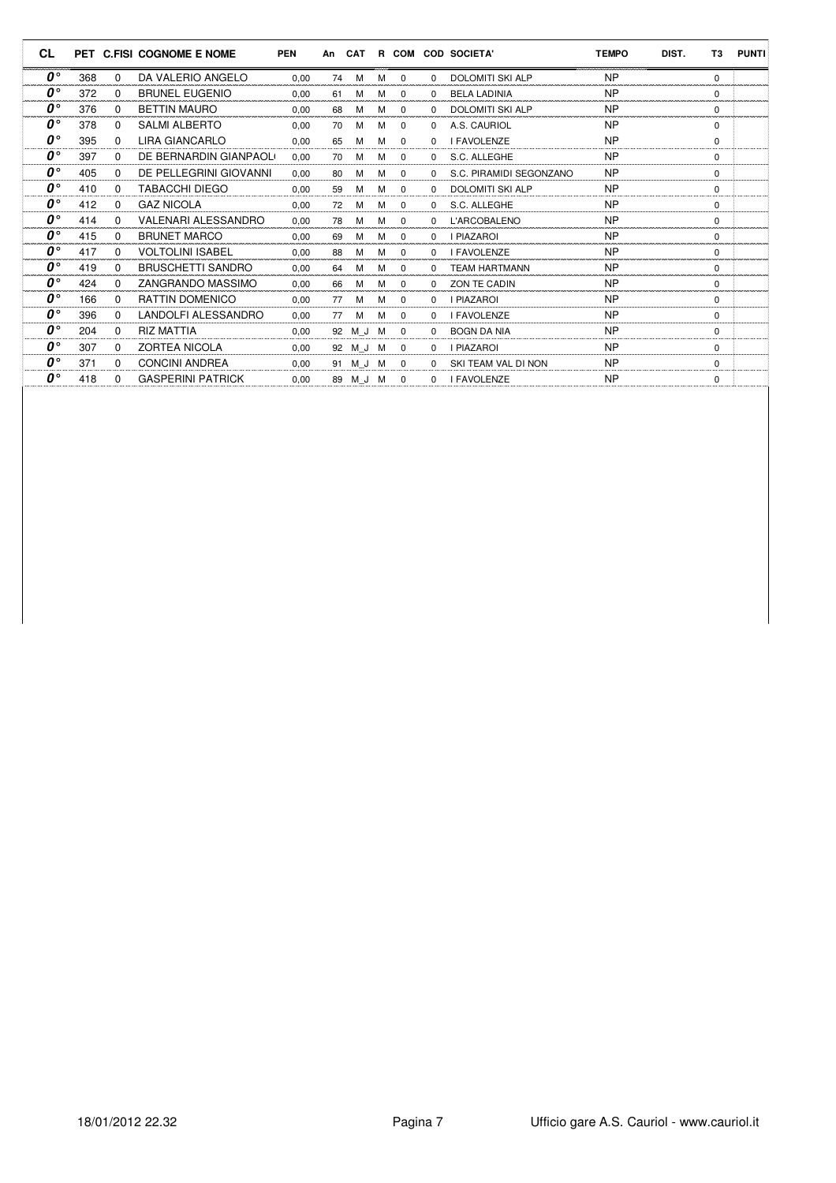| <b>CL</b>                     | PET |              | <b>C.FISI COGNOME E NOME</b> | <b>PEN</b> | An | <b>CAT</b> |   | R COM       |              | <b>COD SOCIETA'</b>     | <b>TEMPO</b> | DIST. | T <sub>3</sub> | <b>PUNTI</b> |
|-------------------------------|-----|--------------|------------------------------|------------|----|------------|---|-------------|--------------|-------------------------|--------------|-------|----------------|--------------|
| $\boldsymbol{\theta}^{\circ}$ | 368 | $\Omega$     | DA VALERIO ANGELO            | 0.00       | 74 | м          | М | $\Omega$    | $\Omega$     | <b>DOLOMITI SKI ALP</b> | <b>NP</b>    |       | $\Omega$       |              |
| $\boldsymbol{\theta}^{\circ}$ | 372 | $\Omega$     | <b>BRUNEL EUGENIO</b>        | 0.00       | 61 | M          | М | $\mathbf 0$ | <sup>0</sup> | <b>BELA LADINIA</b>     | <b>NP</b>    |       | 0              |              |
| $0^{\circ}$                   | 376 | $\Omega$     | <b>BETTIN MAURO</b>          | 0.00       | 68 | M          | М | $\Omega$    | <sup>0</sup> | <b>DOLOMITI SKI ALP</b> | <b>NP</b>    |       | $\Omega$       |              |
| $\boldsymbol{\theta}^{\circ}$ | 378 | 0            | <b>SALMI ALBERTO</b>         | 0.00       | 70 | M          | M | $\mathbf 0$ | 0            | A.S. CAURIOL            | <b>NP</b>    |       | $\Omega$       |              |
| $\boldsymbol{\theta}^{\circ}$ | 395 | $\Omega$     | <b>LIRA GIANCARLO</b>        | 0.00       | 65 | M          | M | 0           | 0            | <b>I FAVOLENZE</b>      | <b>NP</b>    |       | $\Omega$       |              |
| $\boldsymbol{\theta}^{\circ}$ | 397 | 0            | DE BERNARDIN GIANPAOLO       | 0.00       | 70 | м          | м | $\Omega$    | $\Omega$     | S.C. ALLEGHE            | <b>NP</b>    |       | $\Omega$       |              |
| $\boldsymbol{\theta}^{\circ}$ | 405 | $\Omega$     | DE PELLEGRINI GIOVANNI       | 0.00       | 80 | м          | M | 0           | 0            | S.C. PIRAMIDI SEGONZANO | <b>NP</b>    |       | 0              |              |
| $\boldsymbol{\theta}^{\circ}$ | 410 | $\Omega$     | <b>TABACCHI DIEGO</b>        | 0.00       | 59 | M          | м | $\Omega$    | <sup>0</sup> | <b>DOLOMITI SKI ALP</b> | <b>NP</b>    |       | $\Omega$       |              |
| $\boldsymbol{0}$ °            | 412 | $\Omega$     | <b>GAZ NICOLA</b>            | 0.00       | 72 | м          | м | $\Omega$    | $\Omega$     | S.C. ALLEGHE            | <b>NP</b>    |       | $\Omega$       |              |
| $\bm{o}^{\circ}$              | 414 | $\Omega$     | VALENARI ALESSANDRO          | 0.00       | 78 | м          | м | 0           | 0            | L'ARCOBALENO            | <b>NP</b>    |       | 0              |              |
| $\boldsymbol{\theta}^{\circ}$ | 415 | $\Omega$     | <b>BRUNET MARCO</b>          | 0.00       | 69 | M          | М | $\Omega$    | <sup>0</sup> | <b>I PIAZAROI</b>       | <b>NP</b>    |       | $\Omega$       |              |
| $\boldsymbol{0}$ °            | 417 | $\Omega$     | <b>VOLTOLINI ISABEL</b>      | 0.00       | 88 | м          | М | $\Omega$    | 0            | <b>I FAVOLENZE</b>      | <b>NP</b>    |       | $\Omega$       |              |
| $\mathbf{0}^{\circ}$          | 419 | <sup>0</sup> | <b>BRUSCHETTI SANDRO</b>     | 0.00       | 64 | м          | М | $\mathbf 0$ | <sup>0</sup> | <b>TEAM HARTMANN</b>    | <b>NP</b>    |       | 0              |              |
| $\boldsymbol{\theta}^{\circ}$ | 424 | 0            | ZANGRANDO MASSIMO            | 0.00       | 66 | м          | М | $\Omega$    | 0            | ZON TE CADIN            | <b>NP</b>    |       | $\Omega$       |              |
| $\boldsymbol{\theta}^{\circ}$ | 166 | $\Omega$     | <b>RATTIN DOMENICO</b>       | 0.00       | 77 | м          | м | $\Omega$    | 0            | I PIAZAROI              | <b>NP</b>    |       | $\Omega$       |              |
| $\boldsymbol{\theta}^{\circ}$ | 396 | $\Omega$     | LANDOLFI ALESSANDRO          | 0,00       | 77 | M          | м | $\Omega$    | 0            | <b>I FAVOLENZE</b>      | <b>NP</b>    |       | $\Omega$       |              |
| $\boldsymbol{\theta}^{\circ}$ | 204 | $\Omega$     | <b>RIZ MATTIA</b>            | 0.00       |    | 92 M J M   |   | $\Omega$    | 0            | <b>BOGN DA NIA</b>      | <b>NP</b>    |       | $\Omega$       |              |
| $\boldsymbol{\theta}^{\circ}$ | 307 | $\Omega$     | <b>ZORTEA NICOLA</b>         | 0.00       |    | 92 M J M   |   | $\Omega$    | $\Omega$     | <b>I PIAZAROI</b>       | <b>NP</b>    |       | $\Omega$       |              |
| $\boldsymbol{\theta}^{\circ}$ | 371 | $\Omega$     | <b>CONCINI ANDREA</b>        | 0.00       |    | 91 M J M   |   | $\Omega$    | <sup>0</sup> | SKI TEAM VAL DI NON     | <b>NP</b>    |       | 0              |              |
| $\boldsymbol{\theta}^{\circ}$ | 418 | 0            | <b>GASPERINI PATRICK</b>     | 0.00       | 89 | M J        | M | $\Omega$    | 0            | <b>I FAVOLENZE</b>      | <b>NP</b>    |       | 0              |              |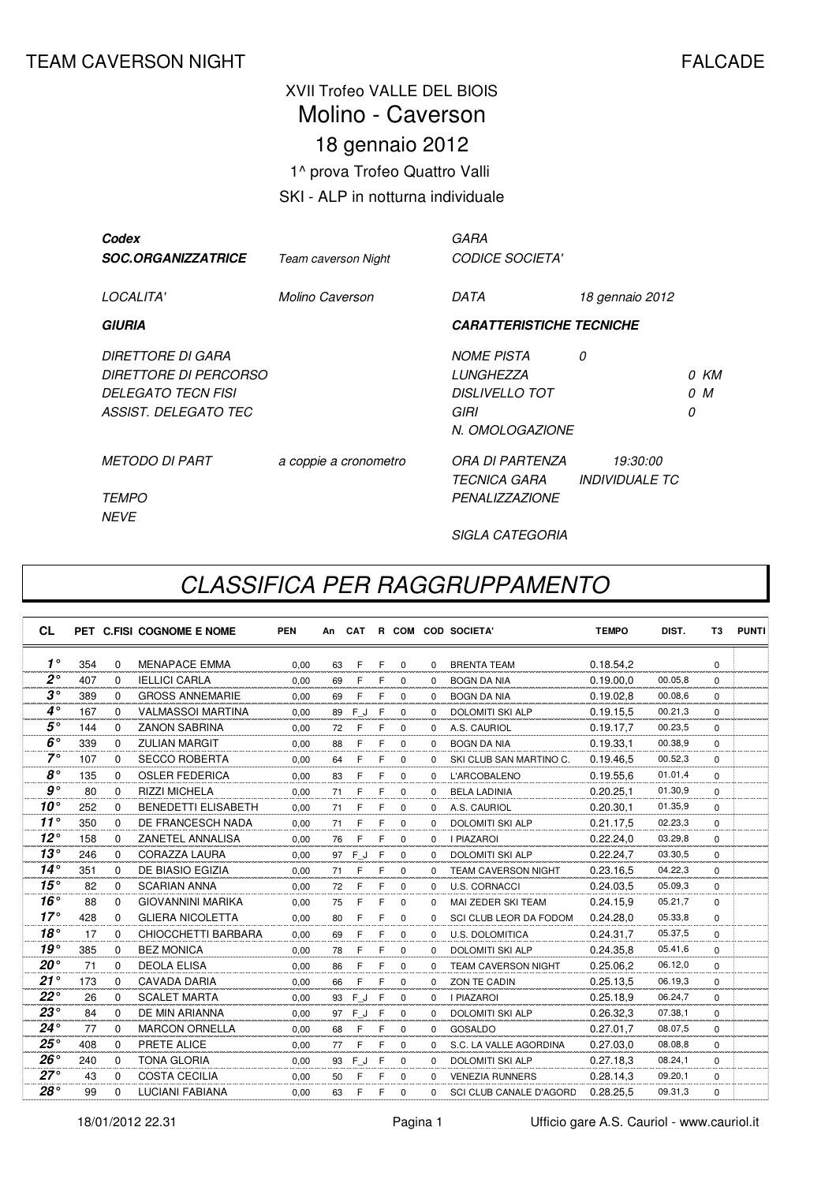## XVII Trofeo VALLE DEL BIOIS 18 gennaio 2012 1^ prova Trofeo Quattro Valli SKI - ALP in notturna individuale Molino - Caverson

| Codex<br><b>SOC.ORGANIZZATRICE</b>                                                                     | Team caverson Night   | GARA<br><b>CODICE SOCIETA'</b>                                                            |                                                 |        |           |
|--------------------------------------------------------------------------------------------------------|-----------------------|-------------------------------------------------------------------------------------------|-------------------------------------------------|--------|-----------|
| LOCALITA'                                                                                              | Molino Caverson       | DATA                                                                                      | 18 gennaio 2012                                 |        |           |
| <b>GIURIA</b>                                                                                          |                       | <b>CARATTERISTICHE TECNICHE</b>                                                           |                                                 |        |           |
| DIRETTORE DI GARA<br><i>DIRETTORE DI PERCORSO</i><br><i>DELEGATO TECN FISI</i><br>ASSIST. DELEGATO TEC |                       | <b>NOME PISTA</b><br><b>LUNGHEZZA</b><br><b>DISLIVELLO TOT</b><br>GIRI<br>N. OMOLOGAZIONE | 0                                               | 0<br>0 | 0 KM<br>M |
| <i>METODO DI PART</i><br><i>TEMPO</i><br><b>NEVE</b>                                                   | a coppie a cronometro | ORA DI PARTENZA<br><i>TECNICA GARA</i><br><b>PENALIZZAZIONE</b>                           | <i>19:30:00</i><br><i><b>INDIVIDUALE TC</b></i> |        |           |

SIGLA CATEGORIA

## CLASSIFICA PER RAGGRUPPAMENTO

| <b>CL</b>    |     |          | PET C.FISI COGNOME E NOME  | <b>PEN</b> | An | CAT |   |             |          | R COM COD SOCIETA'             | <b>TEMPO</b> | DIST.   | T3          | <b>PUNTI</b> |
|--------------|-----|----------|----------------------------|------------|----|-----|---|-------------|----------|--------------------------------|--------------|---------|-------------|--------------|
| $1^{\circ}$  | 354 | $\Omega$ | <b>MENAPACE EMMA</b>       | 0.00       | 63 | F   | F | $\mathbf 0$ | $\Omega$ | <b>BRENTA TEAM</b>             | 0.18.54.2    |         | $\Omega$    |              |
| $2^{\circ}$  | 407 | 0        | <b>IELLICI CARLA</b>       | 0,00       | 69 | F   | F | 0           | 0        | <b>BOGN DA NIA</b>             | 0.19.00.0    | 00.05,8 | $\mathbf 0$ |              |
| $3^{\circ}$  | 389 | 0        | <b>GROSS ANNEMARIE</b>     | 0.00       | 69 | F   | F | $\mathbf 0$ | $\Omega$ | <b>BOGN DA NIA</b>             | 0.19.02.8    | 00.08,6 | $\Omega$    |              |
| $4^{\circ}$  | 167 | $\Omega$ | <b>VALMASSOI MARTINA</b>   | 0.00       | 89 | FJ  | F | $\Omega$    | $\Omega$ | <b>DOLOMITI SKI ALP</b>        | 0.19.15.5    | 00.21,3 | $\Omega$    |              |
| $5^{\circ}$  | 144 | $\Omega$ | <b>ZANON SABRINA</b>       | 0.00       | 72 | F   | F | $\Omega$    | $\Omega$ | A.S. CAURIOL                   | 0.19.17,7    | 00.23,5 | $\Omega$    |              |
| $6^\circ$    | 339 | $\Omega$ | <b>ZULIAN MARGIT</b>       | 0,00       | 88 | F   | F | $\Omega$    | $\Omega$ | <b>BOGN DA NIA</b>             | 0.19.33.1    | 00.38,9 | $\Omega$    |              |
| $7^\circ$    | 107 | 0        | <b>SECCO ROBERTA</b>       | 0,00       | 64 | F   | F | $\mathbf 0$ | $\Omega$ | SKI CLUB SAN MARTINO C.        | 0.19.46,5    | 00.52,3 | $\Omega$    |              |
| $8^{\circ}$  | 135 | $\Omega$ | <b>OSLER FEDERICA</b>      | 0.00       | 83 | F   | F | $\Omega$    | $\Omega$ | L'ARCOBALENO                   | 0.19.55.6    | 01.01.4 | $\Omega$    |              |
| $g \circ$    | 80  | $\Omega$ | <b>RIZZI MICHELA</b>       | 0,00       | 71 | F   | F | $\mathbf 0$ | $\Omega$ | <b>BELA LADINIA</b>            | 0.20.25.1    | 01.30,9 | $\Omega$    |              |
| $10^{\circ}$ | 252 | $\Omega$ | <b>BENEDETTI ELISABETH</b> | 0.00       | 71 | F   | F | $\Omega$    | $\Omega$ | A.S. CAURIOL                   | 0.20.30.1    | 01.35,9 | $\Omega$    |              |
| $11^{\circ}$ | 350 | $\Omega$ | DE FRANCESCH NADA          | 0,00       | 71 | F   | F | $\Omega$    | $\Omega$ | <b>DOLOMITI SKI ALP</b>        | 0.21.17,5    | 02.23,3 | $\Omega$    |              |
| $12^{\circ}$ | 158 | $\Omega$ | ZANETEL ANNALISA           | 0.00       | 76 | F   | F | $\Omega$    | $\Omega$ | <b>I PIAZAROI</b>              | 0.22.24.0    | 03.29,8 | $\Omega$    |              |
| $13^\circ$   | 246 | $\Omega$ | CORAZZA LAURA              | 0,00       | 97 | F J | F | $\Omega$    | $\Omega$ | <b>DOLOMITI SKI ALP</b>        | 0.22.24,7    | 03.30,5 | $\Omega$    |              |
| $14^\circ$   | 351 | $\Omega$ | DE BIASIO EGIZIA           | 0.00       | 71 | F   | F | $\Omega$    | $\Omega$ | <b>TEAM CAVERSON NIGHT</b>     | 0.23.16.5    | 04.22,3 | $\Omega$    |              |
| 15°          | 82  | $\Omega$ | <b>SCARIAN ANNA</b>        | 0.00       | 72 | F   | F | $\Omega$    | $\Omega$ | <b>U.S. CORNACCI</b>           | 0.24.03.5    | 05.09,3 | $\Omega$    |              |
| $16^{\circ}$ | 88  | 0        | <b>GIOVANNINI MARIKA</b>   | 0,00       | 75 | F   | F | $\mathbf 0$ | $\Omega$ | MAI ZEDER SKI TEAM             | 0.24.15,9    | 05.21,7 | $\Omega$    |              |
| $17^\circ$   | 428 | $\Omega$ | <b>GLIERA NICOLETTA</b>    | 0,00       | 80 | F   | F | $\Omega$    | $\Omega$ | SCI CLUB LEOR DA FODOM         | 0.24.28,0    | 05.33,8 | $\Omega$    |              |
| 18°          | 17  | 0        | CHIOCCHETTI BARBARA        | 0,00       | 69 | F   | F | $\mathbf 0$ | $\Omega$ | <b>U.S. DOLOMITICA</b>         | 0.24.31,7    | 05.37,5 | $\Omega$    |              |
| $19^{\circ}$ | 385 | $\Omega$ | <b>BEZ MONICA</b>          | 0.00       | 78 | F   | F | $\mathbf 0$ | $\Omega$ | <b>DOLOMITI SKI ALP</b>        | 0.24.35.8    | 05.41,6 | $\Omega$    |              |
| $20^{\circ}$ | 71  | $\Omega$ | <b>DEOLA ELISA</b>         | 0,00       | 86 | F   | F | $\Omega$    | 0        | <b>TEAM CAVERSON NIGHT</b>     | 0.25.06.2    | 06.12,0 | $\Omega$    |              |
| 21°          | 173 | $\Omega$ | CAVADA DARIA               | 0.00       | 66 | F   | E | $\Omega$    | $\Omega$ | ZON TE CADIN                   | 0.25.13,5    | 06.19,3 | $\Omega$    |              |
| $22^{\circ}$ | 26  | $\Omega$ | <b>SCALET MARTA</b>        | 0,00       | 93 | F J | F | $\Omega$    | $\Omega$ | <b>I PIAZAROI</b>              | 0.25.18,9    | 06.24.7 | $\Omega$    |              |
| $23^{\circ}$ | 84  | $\Omega$ | DE MIN ARIANNA             | 0,00       | 97 | FJ  | F | $\mathbf 0$ | $\Omega$ | <b>DOLOMITI SKI ALP</b>        | 0.26.32,3    | 07.38,1 | $\Omega$    |              |
| $24^{\circ}$ | 77  | $\Omega$ | <b>MARCON ORNELLA</b>      | 0,00       | 68 | F   | F | $\mathbf 0$ | $\Omega$ | <b>GOSALDO</b>                 | 0.27.01,7    | 08.07,5 | $\Omega$    |              |
| $25^{\circ}$ | 408 | 0        | PRETE ALICE                | 0,00       | 77 | F   | F | 0           | $\Omega$ | S.C. LA VALLE AGORDINA         | 0.27.03,0    | 08.08.8 | $\Omega$    |              |
| $26^{\circ}$ | 240 | $\Omega$ | <b>TONA GLORIA</b>         | 0.00       | 93 | FJ  | F | $\Omega$    | $\Omega$ | <b>DOLOMITI SKI ALP</b>        | 0.27.18.3    | 08.24,1 | $\Omega$    |              |
| $27^\circ$   | 43  | 0        | <b>COSTA CECILIA</b>       | 0.00       | 50 | F   | F | $\mathbf 0$ | $\Omega$ | <b>VENEZIA RUNNERS</b>         | 0.28.14.3    | 09.20,1 | $\Omega$    |              |
| 28°          | 99  | $\Omega$ | <b>LUCIANI FABIANA</b>     | 0.00       | 63 | F   | F | $\Omega$    | $\Omega$ | <b>SCI CLUB CANALE D'AGORD</b> | 0.28.25,5    | 09.31,3 | $\Omega$    |              |